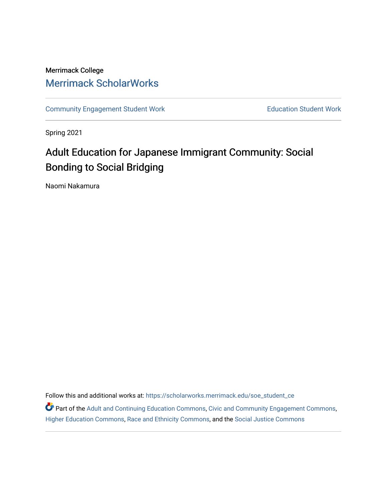# Merrimack College [Merrimack ScholarWorks](https://scholarworks.merrimack.edu/)

[Community Engagement Student Work](https://scholarworks.merrimack.edu/soe_student_ce) **Education Student Work** Education Student Work

Spring 2021

# Adult Education for Japanese Immigrant Community: Social Bonding to Social Bridging

Naomi Nakamura

Follow this and additional works at: [https://scholarworks.merrimack.edu/soe\\_student\\_ce](https://scholarworks.merrimack.edu/soe_student_ce?utm_source=scholarworks.merrimack.edu%2Fsoe_student_ce%2F55&utm_medium=PDF&utm_campaign=PDFCoverPages) 

Part of the [Adult and Continuing Education Commons,](http://network.bepress.com/hgg/discipline/1375?utm_source=scholarworks.merrimack.edu%2Fsoe_student_ce%2F55&utm_medium=PDF&utm_campaign=PDFCoverPages) [Civic and Community Engagement Commons](http://network.bepress.com/hgg/discipline/1028?utm_source=scholarworks.merrimack.edu%2Fsoe_student_ce%2F55&utm_medium=PDF&utm_campaign=PDFCoverPages), [Higher Education Commons,](http://network.bepress.com/hgg/discipline/1245?utm_source=scholarworks.merrimack.edu%2Fsoe_student_ce%2F55&utm_medium=PDF&utm_campaign=PDFCoverPages) [Race and Ethnicity Commons,](http://network.bepress.com/hgg/discipline/426?utm_source=scholarworks.merrimack.edu%2Fsoe_student_ce%2F55&utm_medium=PDF&utm_campaign=PDFCoverPages) and the [Social Justice Commons](http://network.bepress.com/hgg/discipline/1432?utm_source=scholarworks.merrimack.edu%2Fsoe_student_ce%2F55&utm_medium=PDF&utm_campaign=PDFCoverPages)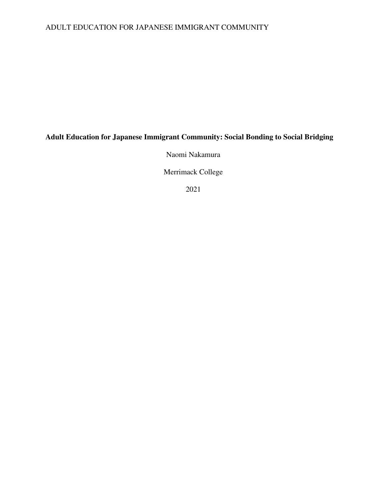# ADULT EDUCATION FOR JAPANESE IMMIGRANT COMMUNITY

# **Adult Education for Japanese Immigrant Community: Social Bonding to Social Bridging**

Naomi Nakamura

Merrimack College

2021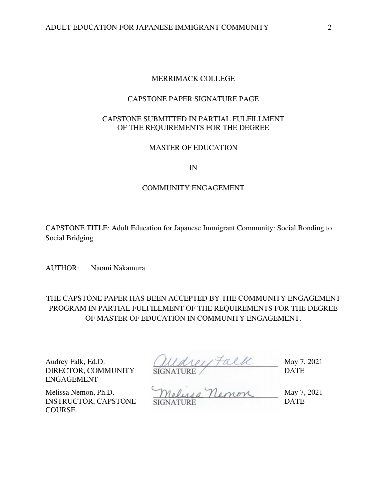## MERRIMACK COLLEGE

## CAPSTONE PAPER SIGNATURE PAGE

## CAPSTONE SUBMITTED IN PARTIAL FULFILLMENT OF THE REQUIREMENTS FOR THE DEGREE

## MASTER OF EDUCATION

IN

## COMMUNITY ENGAGEMENT

CAPSTONE TITLE: Adult Education for Japanese Immigrant Community: Social Bonding to Social Bridging

AUTHOR: Naomi Nakamura

THE CAPSTONE PAPER HAS BEEN ACCEPTED BY THE COMMUNITY ENGAGEMENT PROGRAM IN PARTIAL FULFILLMENT OF THE REQUIREMENTS FOR THE DEGREE OF MASTER OF EDUCATION IN COMMUNITY ENGAGEMENT.

DIRECTOR, COMMUNITY ENGAGEMENT

Audrey Falk, Ed.D.  $(11441) \tau \alpha$  May 7, 2021 SIGNATURE DATE

INSTRUCTOR, CAPSTONE **COURSE** 

Melissa Nemon, Ph.D. Melussa Nemon May 7, 2021 SIGNATURE DATE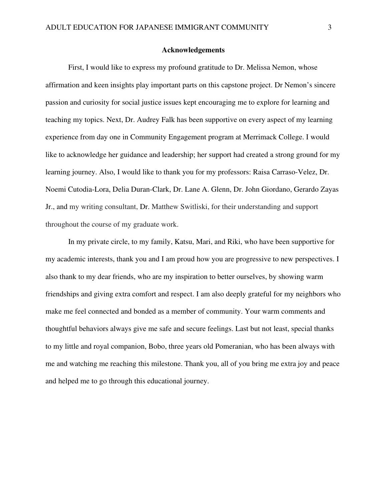## **Acknowledgements**

First, I would like to express my profound gratitude to Dr. Melissa Nemon, whose affirmation and keen insights play important parts on this capstone project. Dr Nemon's sincere passion and curiosity for social justice issues kept encouraging me to explore for learning and teaching my topics. Next, Dr. Audrey Falk has been supportive on every aspect of my learning experience from day one in Community Engagement program at Merrimack College. I would like to acknowledge her guidance and leadership; her support had created a strong ground for my learning journey. Also, I would like to thank you for my professors: Raisa Carraso-Velez, Dr. Noemi Cutodia-Lora, Delia Duran-Clark, Dr. Lane A. Glenn, Dr. John Giordano, Gerardo Zayas Jr., and my writing consultant, Dr. Matthew Switliski, for their understanding and support throughout the course of my graduate work.

 In my private circle, to my family, Katsu, Mari, and Riki, who have been supportive for my academic interests, thank you and I am proud how you are progressive to new perspectives. I also thank to my dear friends, who are my inspiration to better ourselves, by showing warm friendships and giving extra comfort and respect. I am also deeply grateful for my neighbors who make me feel connected and bonded as a member of community. Your warm comments and thoughtful behaviors always give me safe and secure feelings. Last but not least, special thanks to my little and royal companion, Bobo, three years old Pomeranian, who has been always with me and watching me reaching this milestone. Thank you, all of you bring me extra joy and peace and helped me to go through this educational journey.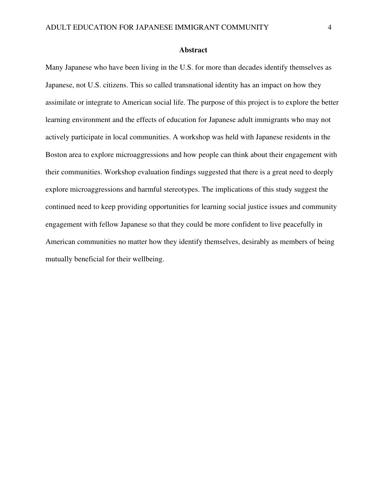## **Abstract**

Many Japanese who have been living in the U.S. for more than decades identify themselves as Japanese, not U.S. citizens. This so called transnational identity has an impact on how they assimilate or integrate to American social life. The purpose of this project is to explore the better learning environment and the effects of education for Japanese adult immigrants who may not actively participate in local communities. A workshop was held with Japanese residents in the Boston area to explore microaggressions and how people can think about their engagement with their communities. Workshop evaluation findings suggested that there is a great need to deeply explore microaggressions and harmful stereotypes. The implications of this study suggest the continued need to keep providing opportunities for learning social justice issues and community engagement with fellow Japanese so that they could be more confident to live peacefully in American communities no matter how they identify themselves, desirably as members of being mutually beneficial for their wellbeing.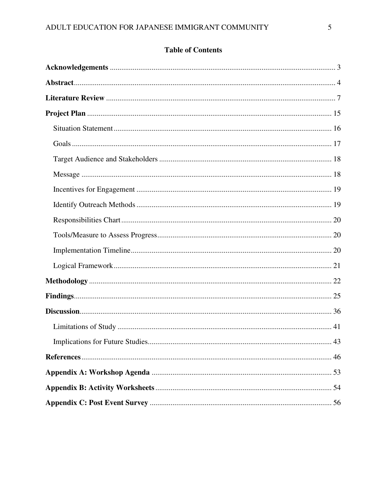# **Table of Contents**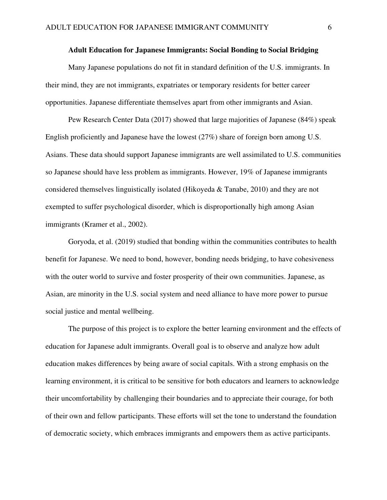### **Adult Education for Japanese Immigrants: Social Bonding to Social Bridging**

Many Japanese populations do not fit in standard definition of the U.S. immigrants. In their mind, they are not immigrants, expatriates or temporary residents for better career opportunities. Japanese differentiate themselves apart from other immigrants and Asian.

Pew Research Center Data (2017) showed that large majorities of Japanese (84%) speak English proficiently and Japanese have the lowest (27%) share of foreign born among U.S. Asians. These data should support Japanese immigrants are well assimilated to U.S. communities so Japanese should have less problem as immigrants. However, 19% of Japanese immigrants considered themselves linguistically isolated (Hikoyeda & Tanabe, 2010) and they are not exempted to suffer psychological disorder, which is disproportionally high among Asian immigrants (Kramer et al., 2002).

Goryoda, et al. (2019) studied that bonding within the communities contributes to health benefit for Japanese. We need to bond, however, bonding needs bridging, to have cohesiveness with the outer world to survive and foster prosperity of their own communities. Japanese, as Asian, are minority in the U.S. social system and need alliance to have more power to pursue social justice and mental wellbeing.

The purpose of this project is to explore the better learning environment and the effects of education for Japanese adult immigrants. Overall goal is to observe and analyze how adult education makes differences by being aware of social capitals. With a strong emphasis on the learning environment, it is critical to be sensitive for both educators and learners to acknowledge their uncomfortability by challenging their boundaries and to appreciate their courage, for both of their own and fellow participants. These efforts will set the tone to understand the foundation of democratic society, which embraces immigrants and empowers them as active participants.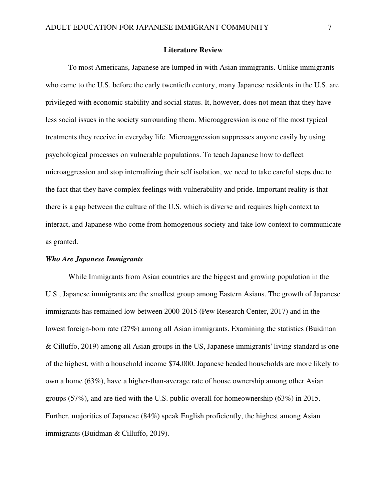#### **Literature Review**

 To most Americans, Japanese are lumped in with Asian immigrants. Unlike immigrants who came to the U.S. before the early twentieth century, many Japanese residents in the U.S. are privileged with economic stability and social status. It, however, does not mean that they have less social issues in the society surrounding them. Microaggression is one of the most typical treatments they receive in everyday life. Microaggression suppresses anyone easily by using psychological processes on vulnerable populations. To teach Japanese how to deflect microaggression and stop internalizing their self isolation, we need to take careful steps due to the fact that they have complex feelings with vulnerability and pride. Important reality is that there is a gap between the culture of the U.S. which is diverse and requires high context to interact, and Japanese who come from homogenous society and take low context to communicate as granted.

## *Who Are Japanese Immigrants*

While Immigrants from Asian countries are the biggest and growing population in the U.S., Japanese immigrants are the smallest group among Eastern Asians. The growth of Japanese immigrants has remained low between 2000-2015 (Pew Research Center, 2017) and in the lowest foreign-born rate (27%) among all Asian immigrants. Examining the statistics (Buidman & Cilluffo, 2019) among all Asian groups in the US, Japanese immigrants' living standard is one of the highest, with a household income \$74,000. Japanese headed households are more likely to own a home (63%), have a higher-than-average rate of house ownership among other Asian groups (57%), and are tied with the U.S. public overall for homeownership (63%) in 2015. Further, majorities of Japanese (84%) speak English proficiently, the highest among Asian immigrants (Buidman & Cilluffo, 2019).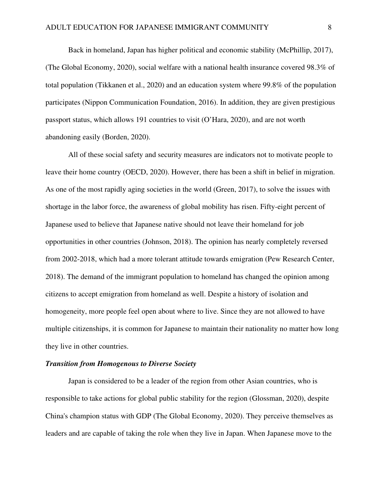Back in homeland, Japan has higher political and economic stability (McPhillip, 2017), (The Global Economy, 2020), social welfare with a national health insurance covered 98.3% of total population (Tikkanen et al., 2020) and an education system where 99.8% of the population participates (Nippon Communication Foundation, 2016). In addition, they are given prestigious passport status, which allows 191 countries to visit (O'Hara, 2020), and are not worth abandoning easily (Borden, 2020).

All of these social safety and security measures are indicators not to motivate people to leave their home country (OECD, 2020). However, there has been a shift in belief in migration. As one of the most rapidly aging societies in the world (Green, 2017), to solve the issues with shortage in the labor force, the awareness of global mobility has risen. Fifty-eight percent of Japanese used to believe that Japanese native should not leave their homeland for job opportunities in other countries (Johnson, 2018). The opinion has nearly completely reversed from 2002-2018, which had a more tolerant attitude towards emigration (Pew Research Center, 2018). The demand of the immigrant population to homeland has changed the opinion among citizens to accept emigration from homeland as well. Despite a history of isolation and homogeneity, more people feel open about where to live. Since they are not allowed to have multiple citizenships, it is common for Japanese to maintain their nationality no matter how long they live in other countries.

## *Transition from Homogenous to Diverse Society*

Japan is considered to be a leader of the region from other Asian countries, who is responsible to take actions for global public stability for the region (Glossman, 2020), despite China's champion status with GDP (The Global Economy, 2020). They perceive themselves as leaders and are capable of taking the role when they live in Japan. When Japanese move to the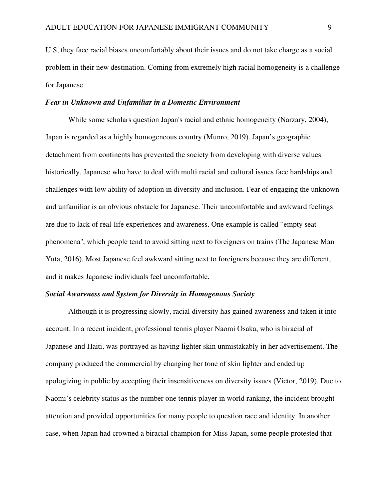U.S, they face racial biases uncomfortably about their issues and do not take charge as a social problem in their new destination. Coming from extremely high racial homogeneity is a challenge for Japanese.

## *Fear in Unknown and Unfamiliar in a Domestic Environment*

While some scholars question Japan's racial and ethnic homogeneity (Narzary, 2004), Japan is regarded as a highly homogeneous country (Munro, 2019). Japan's geographic detachment from continents has prevented the society from developing with diverse values historically. Japanese who have to deal with multi racial and cultural issues face hardships and challenges with low ability of adoption in diversity and inclusion. Fear of engaging the unknown and unfamiliar is an obvious obstacle for Japanese. Their uncomfortable and awkward feelings are due to lack of real-life experiences and awareness. One example is called "empty seat phenomena'', which people tend to avoid sitting next to foreigners on trains (The Japanese Man Yuta, 2016). Most Japanese feel awkward sitting next to foreigners because they are different, and it makes Japanese individuals feel uncomfortable.

## *Social Awareness and System for Diversity in Homogenous Society*

Although it is progressing slowly, racial diversity has gained awareness and taken it into account. In a recent incident, professional tennis player Naomi Osaka, who is biracial of Japanese and Haiti, was portrayed as having lighter skin unmistakably in her advertisement. The company produced the commercial by changing her tone of skin lighter and ended up apologizing in public by accepting their insensitiveness on diversity issues (Victor, 2019). Due to Naomi's celebrity status as the number one tennis player in world ranking, the incident brought attention and provided opportunities for many people to question race and identity. In another case, when Japan had crowned a biracial champion for Miss Japan, some people protested that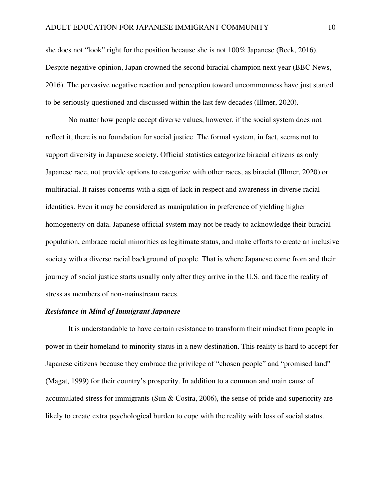she does not "look" right for the position because she is not 100% Japanese (Beck, 2016). Despite negative opinion, Japan crowned the second biracial champion next year (BBC News, 2016). The pervasive negative reaction and perception toward uncommonness have just started to be seriously questioned and discussed within the last few decades (Illmer, 2020).

 No matter how people accept diverse values, however, if the social system does not reflect it, there is no foundation for social justice. The formal system, in fact, seems not to support diversity in Japanese society. Official statistics categorize biracial citizens as only Japanese race, not provide options to categorize with other races, as biracial (Illmer, 2020) or multiracial. It raises concerns with a sign of lack in respect and awareness in diverse racial identities. Even it may be considered as manipulation in preference of yielding higher homogeneity on data. Japanese official system may not be ready to acknowledge their biracial population, embrace racial minorities as legitimate status, and make efforts to create an inclusive society with a diverse racial background of people. That is where Japanese come from and their journey of social justice starts usually only after they arrive in the U.S. and face the reality of stress as members of non-mainstream races.

## *Resistance in Mind of Immigrant Japanese*

It is understandable to have certain resistance to transform their mindset from people in power in their homeland to minority status in a new destination. This reality is hard to accept for Japanese citizens because they embrace the privilege of "chosen people" and "promised land" (Magat, 1999) for their country's prosperity. In addition to a common and main cause of accumulated stress for immigrants (Sun & Costra, 2006), the sense of pride and superiority are likely to create extra psychological burden to cope with the reality with loss of social status.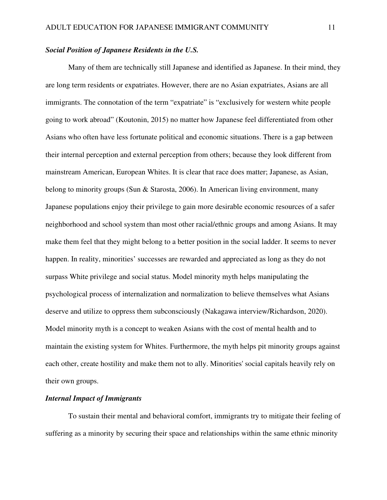## *Social Position of Japanese Residents in the U.S.*

Many of them are technically still Japanese and identified as Japanese. In their mind, they are long term residents or expatriates. However, there are no Asian expatriates, Asians are all immigrants. The connotation of the term "expatriate" is "exclusively for western white people going to work abroad" (Koutonin, 2015) no matter how Japanese feel differentiated from other Asians who often have less fortunate political and economic situations. There is a gap between their internal perception and external perception from others; because they look different from mainstream American, European Whites. It is clear that race does matter; Japanese, as Asian, belong to minority groups (Sun & Starosta, 2006). In American living environment, many Japanese populations enjoy their privilege to gain more desirable economic resources of a safer neighborhood and school system than most other racial/ethnic groups and among Asians. It may make them feel that they might belong to a better position in the social ladder. It seems to never happen. In reality, minorities' successes are rewarded and appreciated as long as they do not surpass White privilege and social status. Model minority myth helps manipulating the psychological process of internalization and normalization to believe themselves what Asians deserve and utilize to oppress them subconsciously (Nakagawa interview/Richardson, 2020). Model minority myth is a concept to weaken Asians with the cost of mental health and to maintain the existing system for Whites. Furthermore, the myth helps pit minority groups against each other, create hostility and make them not to ally. Minorities' social capitals heavily rely on their own groups.

## *Internal Impact of Immigrants*

To sustain their mental and behavioral comfort, immigrants try to mitigate their feeling of suffering as a minority by securing their space and relationships within the same ethnic minority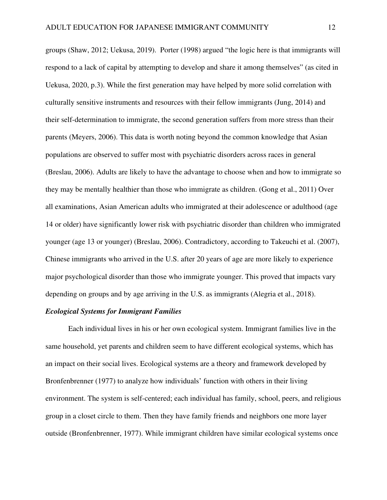groups (Shaw, 2012; Uekusa, 2019). Porter (1998) argued "the logic here is that immigrants will respond to a lack of capital by attempting to develop and share it among themselves" (as cited in Uekusa, 2020, p.3). While the first generation may have helped by more solid correlation with culturally sensitive instruments and resources with their fellow immigrants (Jung, 2014) and their self-determination to immigrate, the second generation suffers from more stress than their parents (Meyers, 2006). This data is worth noting beyond the common knowledge that Asian populations are observed to suffer most with psychiatric disorders across races in general (Breslau, 2006). Adults are likely to have the advantage to choose when and how to immigrate so they may be mentally healthier than those who immigrate as children. (Gong et al., 2011) Over all examinations, Asian American adults who immigrated at their adolescence or adulthood (age 14 or older) have significantly lower risk with psychiatric disorder than children who immigrated younger (age 13 or younger) (Breslau, 2006). Contradictory, according to Takeuchi et al. (2007), Chinese immigrants who arrived in the U.S. after 20 years of age are more likely to experience major psychological disorder than those who immigrate younger. This proved that impacts vary depending on groups and by age arriving in the U.S. as immigrants (Alegria et al., 2018).

## *Ecological Systems for Immigrant Families*

Each individual lives in his or her own ecological system. Immigrant families live in the same household, yet parents and children seem to have different ecological systems, which has an impact on their social lives. Ecological systems are a theory and framework developed by Bronfenbrenner (1977) to analyze how individuals' function with others in their living environment. The system is self-centered; each individual has family, school, peers, and religious group in a closet circle to them. Then they have family friends and neighbors one more layer outside (Bronfenbrenner, 1977). While immigrant children have similar ecological systems once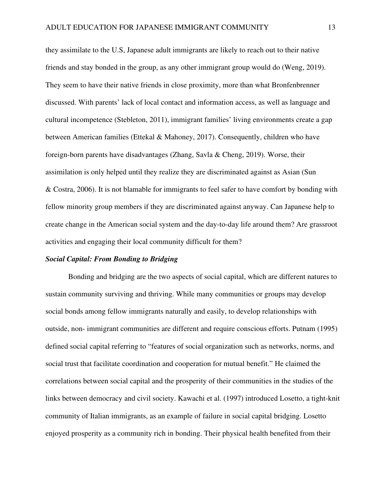they assimilate to the U.S, Japanese adult immigrants are likely to reach out to their native friends and stay bonded in the group, as any other immigrant group would do (Weng, 2019). They seem to have their native friends in close proximity, more than what Bronfenbrenner discussed. With parents' lack of local contact and information access, as well as language and cultural incompetence (Stebleton, 2011), immigrant families' living environments create a gap between American families (Ettekal & Mahoney, 2017). Consequently, children who have foreign-born parents have disadvantages (Zhang, Savla & Cheng, 2019). Worse, their assimilation is only helped until they realize they are discriminated against as Asian (Sun & Costra, 2006). It is not blamable for immigrants to feel safer to have comfort by bonding with fellow minority group members if they are discriminated against anyway. Can Japanese help to create change in the American social system and the day-to-day life around them? Are grassroot activities and engaging their local community difficult for them?

## *Social Capital: From Bonding to Bridging*

Bonding and bridging are the two aspects of social capital, which are different natures to sustain community surviving and thriving. While many communities or groups may develop social bonds among fellow immigrants naturally and easily, to develop relationships with outside, non- immigrant communities are different and require conscious efforts. Putnam (1995) defined social capital referring to "features of social organization such as networks, norms, and social trust that facilitate coordination and cooperation for mutual benefit." He claimed the correlations between social capital and the prosperity of their communities in the studies of the links between democracy and civil society. Kawachi et al. (1997) introduced Losetto, a tight-knit community of Italian immigrants, as an example of failure in social capital bridging. Losetto enjoyed prosperity as a community rich in bonding. Their physical health benefited from their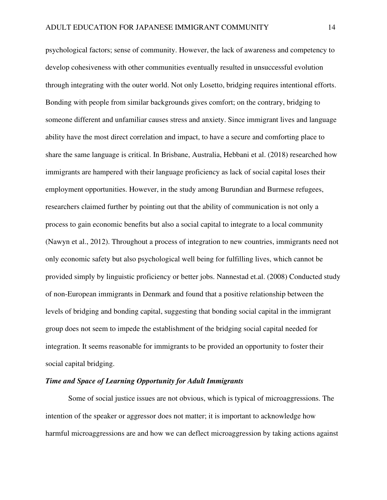psychological factors; sense of community. However, the lack of awareness and competency to develop cohesiveness with other communities eventually resulted in unsuccessful evolution through integrating with the outer world. Not only Losetto, bridging requires intentional efforts. Bonding with people from similar backgrounds gives comfort; on the contrary, bridging to someone different and unfamiliar causes stress and anxiety. Since immigrant lives and language ability have the most direct correlation and impact, to have a secure and comforting place to share the same language is critical. In Brisbane, Australia, Hebbani et al. (2018) researched how immigrants are hampered with their language proficiency as lack of social capital loses their employment opportunities. However, in the study among Burundian and Burmese refugees, researchers claimed further by pointing out that the ability of communication is not only a process to gain economic benefits but also a social capital to integrate to a local community (Nawyn et al., 2012). Throughout a process of integration to new countries, immigrants need not only economic safety but also psychological well being for fulfilling lives, which cannot be provided simply by linguistic proficiency or better jobs. Nannestad et.al. (2008) Conducted study of non-European immigrants in Denmark and found that a positive relationship between the levels of bridging and bonding capital, suggesting that bonding social capital in the immigrant group does not seem to impede the establishment of the bridging social capital needed for integration. It seems reasonable for immigrants to be provided an opportunity to foster their social capital bridging.

## *Time and Space of Learning Opportunity for Adult Immigrants*

 Some of social justice issues are not obvious, which is typical of microaggressions. The intention of the speaker or aggressor does not matter; it is important to acknowledge how harmful microaggressions are and how we can deflect microaggression by taking actions against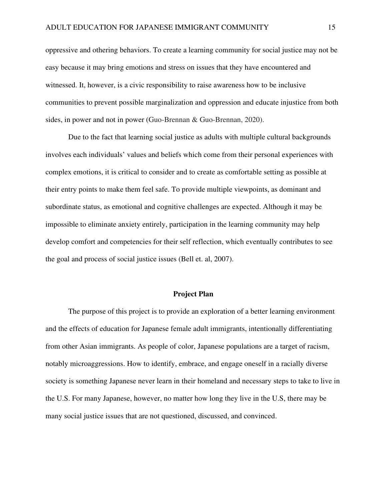oppressive and othering behaviors. To create a learning community for social justice may not be easy because it may bring emotions and stress on issues that they have encountered and witnessed. It, however, is a civic responsibility to raise awareness how to be inclusive communities to prevent possible marginalization and oppression and educate injustice from both sides, in power and not in power (Guo-Brennan & Guo-Brennan, 2020).

Due to the fact that learning social justice as adults with multiple cultural backgrounds involves each individuals' values and beliefs which come from their personal experiences with complex emotions, it is critical to consider and to create as comfortable setting as possible at their entry points to make them feel safe. To provide multiple viewpoints, as dominant and subordinate status, as emotional and cognitive challenges are expected. Although it may be impossible to eliminate anxiety entirely, participation in the learning community may help develop comfort and competencies for their self reflection, which eventually contributes to see the goal and process of social justice issues (Bell et. al, 2007).

## **Project Plan**

The purpose of this project is to provide an exploration of a better learning environment and the effects of education for Japanese female adult immigrants, intentionally differentiating from other Asian immigrants. As people of color, Japanese populations are a target of racism, notably microaggressions. How to identify, embrace, and engage oneself in a racially diverse society is something Japanese never learn in their homeland and necessary steps to take to live in the U.S. For many Japanese, however, no matter how long they live in the U.S, there may be many social justice issues that are not questioned, discussed, and convinced.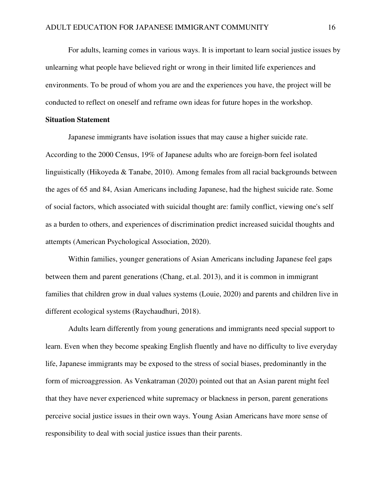For adults, learning comes in various ways. It is important to learn social justice issues by unlearning what people have believed right or wrong in their limited life experiences and environments. To be proud of whom you are and the experiences you have, the project will be conducted to reflect on oneself and reframe own ideas for future hopes in the workshop.

## **Situation Statement**

Japanese immigrants have isolation issues that may cause a higher suicide rate. According to the 2000 Census, 19% of Japanese adults who are foreign-born feel isolated linguistically (Hikoyeda & Tanabe, 2010). Among females from all racial backgrounds between the ages of 65 and 84, Asian Americans including Japanese, had the highest suicide rate. Some of social factors, which associated with suicidal thought are: family conflict, viewing one's self as a burden to others, and experiences of discrimination predict increased suicidal thoughts and attempts (American Psychological Association, 2020).

Within families, younger generations of Asian Americans including Japanese feel gaps between them and parent generations (Chang, et.al. 2013), and it is common in immigrant families that children grow in dual values systems (Louie, 2020) and parents and children live in different ecological systems (Raychaudhuri, 2018).

Adults learn differently from young generations and immigrants need special support to learn. Even when they become speaking English fluently and have no difficulty to live everyday life, Japanese immigrants may be exposed to the stress of social biases, predominantly in the form of microaggression. As Venkatraman (2020) pointed out that an Asian parent might feel that they have never experienced white supremacy or blackness in person, parent generations perceive social justice issues in their own ways. Young Asian Americans have more sense of responsibility to deal with social justice issues than their parents.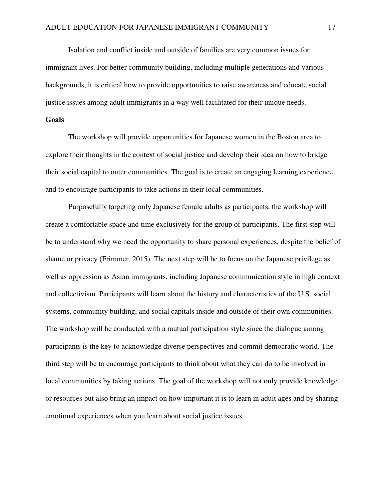Isolation and conflict inside and outside of families are very common issues for immigrant lives. For better community building, including multiple generations and various backgrounds, it is critical how to provide opportunities to raise awareness and educate social justice issues among adult immigrants in a way well facilitated for their unique needs.

## **Goals**

 The workshop will provide opportunities for Japanese women in the Boston area to explore their thoughts in the context of social justice and develop their idea on how to bridge their social capital to outer communities. The goal is to create an engaging learning experience and to encourage participants to take actions in their local communities.

Purposefully targeting only Japanese female adults as participants, the workshop will create a comfortable space and time exclusively for the group of participants. The first step will be to understand why we need the opportunity to share personal experiences, despite the belief of shame or privacy (Frimmer, 2015). The next step will be to focus on the Japanese privilege as well as oppression as Asian immigrants, including Japanese communication style in high context and collectivism. Participants will learn about the history and characteristics of the U.S. social systems, community building, and social capitals inside and outside of their own communities. The workshop will be conducted with a mutual participation style since the dialogue among participants is the key to acknowledge diverse perspectives and commit democratic world. The third step will be to encourage participants to think about what they can do to be involved in local communities by taking actions. The goal of the workshop will not only provide knowledge or resources but also bring an impact on how important it is to learn in adult ages and by sharing emotional experiences when you learn about social justice issues.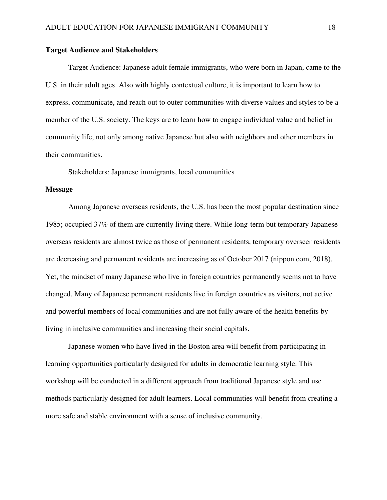## **Target Audience and Stakeholders**

 Target Audience: Japanese adult female immigrants, who were born in Japan, came to the U.S. in their adult ages. Also with highly contextual culture, it is important to learn how to express, communicate, and reach out to outer communities with diverse values and styles to be a member of the U.S. society. The keys are to learn how to engage individual value and belief in community life, not only among native Japanese but also with neighbors and other members in their communities.

Stakeholders: Japanese immigrants, local communities

#### **Message**

 Among Japanese overseas residents, the U.S. has been the most popular destination since 1985; occupied 37% of them are currently living there. While long-term but temporary Japanese overseas residents are almost twice as those of permanent residents, temporary overseer residents are decreasing and permanent residents are increasing as of October 2017 (nippon.com, 2018). Yet, the mindset of many Japanese who live in foreign countries permanently seems not to have changed. Many of Japanese permanent residents live in foreign countries as visitors, not active and powerful members of local communities and are not fully aware of the health benefits by living in inclusive communities and increasing their social capitals.

Japanese women who have lived in the Boston area will benefit from participating in learning opportunities particularly designed for adults in democratic learning style. This workshop will be conducted in a different approach from traditional Japanese style and use methods particularly designed for adult learners. Local communities will benefit from creating a more safe and stable environment with a sense of inclusive community.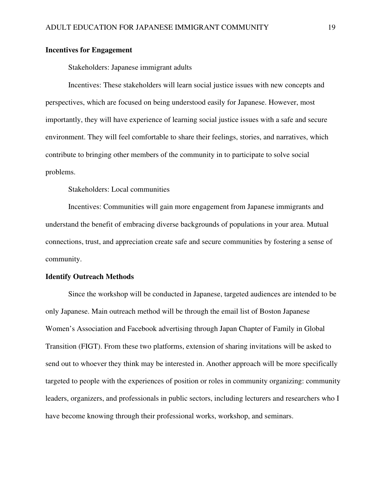## **Incentives for Engagement**

Stakeholders: Japanese immigrant adults

Incentives: These stakeholders will learn social justice issues with new concepts and perspectives, which are focused on being understood easily for Japanese. However, most importantly, they will have experience of learning social justice issues with a safe and secure environment. They will feel comfortable to share their feelings, stories, and narratives, which contribute to bringing other members of the community in to participate to solve social problems.

Stakeholders: Local communities

Incentives: Communities will gain more engagement from Japanese immigrants and understand the benefit of embracing diverse backgrounds of populations in your area. Mutual connections, trust, and appreciation create safe and secure communities by fostering a sense of community.

#### **Identify Outreach Methods**

 Since the workshop will be conducted in Japanese, targeted audiences are intended to be only Japanese. Main outreach method will be through the email list of Boston Japanese Women's Association and Facebook advertising through Japan Chapter of Family in Global Transition (FIGT). From these two platforms, extension of sharing invitations will be asked to send out to whoever they think may be interested in. Another approach will be more specifically targeted to people with the experiences of position or roles in community organizing: community leaders, organizers, and professionals in public sectors, including lecturers and researchers who I have become knowing through their professional works, workshop, and seminars.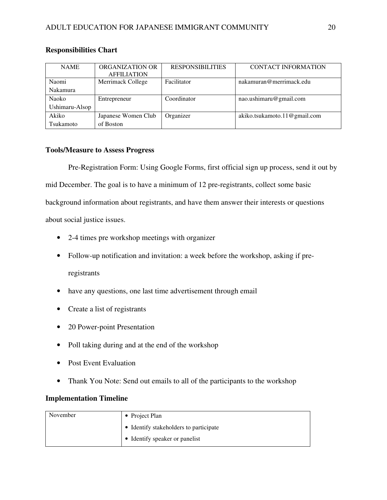| <b>NAME</b>    | ORGANIZATION OR     | <b>RESPONSIBILITIES</b> | <b>CONTACT INFORMATION</b>   |
|----------------|---------------------|-------------------------|------------------------------|
|                | <b>AFFILIATION</b>  |                         |                              |
| Naomi          | Merrimack College   | Facilitator             | nakamuran@merrimack.edu      |
| Nakamura       |                     |                         |                              |
| Naoko          | Entrepreneur        | Coordinator             | nao.ushimaru@gmail.com       |
| Ushimaru-Alsop |                     |                         |                              |
| Akiko          | Japanese Women Club | Organizer               | akiko.tsukamoto.11@gmail.com |
| Tsukamoto      | of Boston           |                         |                              |

## **Responsibilities Chart**

## **Tools/Measure to Assess Progress**

 Pre-Registration Form: Using Google Forms, first official sign up process, send it out by mid December. The goal is to have a minimum of 12 pre-registrants, collect some basic background information about registrants, and have them answer their interests or questions about social justice issues.

- 2-4 times pre workshop meetings with organizer
- Follow-up notification and invitation: a week before the workshop, asking if pre-

registrants

- have any questions, one last time advertisement through email
- Create a list of registrants
- 20 Power-point Presentation
- Poll taking during and at the end of the workshop
- Post Event Evaluation
- Thank You Note: Send out emails to all of the participants to the workshop

## **Implementation Timeline**

| November | • Project Plan                         |
|----------|----------------------------------------|
|          | • Identify stakeholders to participate |
|          | • Identify speaker or panelist         |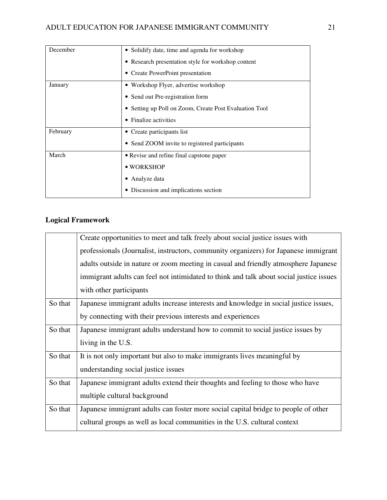| December | • Solidify date, time and agenda for workshop          |
|----------|--------------------------------------------------------|
|          | • Research presentation style for workshop content     |
|          | • Create PowerPoint presentation                       |
| January  | • Workshop Flyer, advertise workshop                   |
|          | • Send out Pre-registration form                       |
|          | • Setting up Poll on Zoom, Create Post Evaluation Tool |
|          | Finalize activities                                    |
| February | • Create participants list                             |
|          | • Send ZOOM invite to registered participants          |
| March    | • Revise and refine final capstone paper               |
|          | • WORKSHOP                                             |
|          | Analyze data                                           |
|          | • Discussion and implications section                  |

# **Logical Framework**

|         | Create opportunities to meet and talk freely about social justice issues with           |
|---------|-----------------------------------------------------------------------------------------|
|         | professionals (Journalist, instructors, community organizers) for Japanese immigrant    |
|         | adults outside in nature or zoom meeting in casual and friendly atmosphere Japanese     |
|         | immigrant adults can feel not intimidated to think and talk about social justice issues |
|         | with other participants                                                                 |
| So that | Japanese immigrant adults increase interests and knowledge in social justice issues,    |
|         | by connecting with their previous interests and experiences                             |
| So that | Japanese immigrant adults understand how to commit to social justice issues by          |
|         | living in the U.S.                                                                      |
| So that | It is not only important but also to make immigrants lives meaningful by                |
|         | understanding social justice issues                                                     |
| So that | Japanese immigrant adults extend their thoughts and feeling to those who have           |
|         | multiple cultural background                                                            |
| So that | Japanese immigrant adults can foster more social capital bridge to people of other      |
|         | cultural groups as well as local communities in the U.S. cultural context               |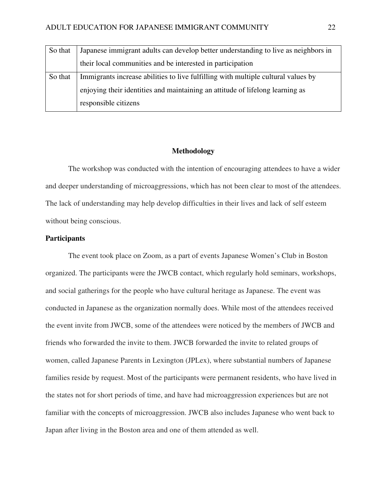| So that | Japanese immigrant adults can develop better understanding to live as neighbors in |
|---------|------------------------------------------------------------------------------------|
|         | their local communities and be interested in participation                         |
| So that | Immigrants increase abilities to live fulfilling with multiple cultural values by  |
|         | enjoying their identities and maintaining an attitude of lifelong learning as      |
|         | responsible citizens                                                               |

## **Methodology**

The workshop was conducted with the intention of encouraging attendees to have a wider and deeper understanding of microaggressions, which has not been clear to most of the attendees. The lack of understanding may help develop difficulties in their lives and lack of self esteem without being conscious.

#### **Participants**

The event took place on Zoom, as a part of events Japanese Women's Club in Boston organized. The participants were the JWCB contact, which regularly hold seminars, workshops, and social gatherings for the people who have cultural heritage as Japanese. The event was conducted in Japanese as the organization normally does. While most of the attendees received the event invite from JWCB, some of the attendees were noticed by the members of JWCB and friends who forwarded the invite to them. JWCB forwarded the invite to related groups of women, called Japanese Parents in Lexington (JPLex), where substantial numbers of Japanese families reside by request. Most of the participants were permanent residents, who have lived in the states not for short periods of time, and have had microaggression experiences but are not familiar with the concepts of microaggression. JWCB also includes Japanese who went back to Japan after living in the Boston area and one of them attended as well.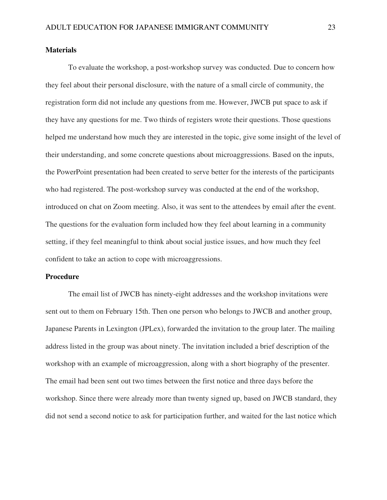## **Materials**

To evaluate the workshop, a post-workshop survey was conducted. Due to concern how they feel about their personal disclosure, with the nature of a small circle of community, the registration form did not include any questions from me. However, JWCB put space to ask if they have any questions for me. Two thirds of registers wrote their questions. Those questions helped me understand how much they are interested in the topic, give some insight of the level of their understanding, and some concrete questions about microaggressions. Based on the inputs, the PowerPoint presentation had been created to serve better for the interests of the participants who had registered. The post-workshop survey was conducted at the end of the workshop, introduced on chat on Zoom meeting. Also, it was sent to the attendees by email after the event. The questions for the evaluation form included how they feel about learning in a community setting, if they feel meaningful to think about social justice issues, and how much they feel confident to take an action to cope with microaggressions.

#### **Procedure**

The email list of JWCB has ninety-eight addresses and the workshop invitations were sent out to them on February 15th. Then one person who belongs to JWCB and another group, Japanese Parents in Lexington (JPLex), forwarded the invitation to the group later. The mailing address listed in the group was about ninety. The invitation included a brief description of the workshop with an example of microaggression, along with a short biography of the presenter. The email had been sent out two times between the first notice and three days before the workshop. Since there were already more than twenty signed up, based on JWCB standard, they did not send a second notice to ask for participation further, and waited for the last notice which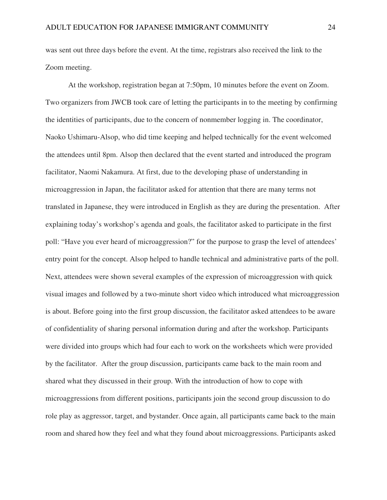was sent out three days before the event. At the time, registrars also received the link to the Zoom meeting.

 At the workshop, registration began at 7:50pm, 10 minutes before the event on Zoom. Two organizers from JWCB took care of letting the participants in to the meeting by confirming the identities of participants, due to the concern of nonmember logging in. The coordinator, Naoko Ushimaru-Alsop, who did time keeping and helped technically for the event welcomed the attendees until 8pm. Alsop then declared that the event started and introduced the program facilitator, Naomi Nakamura. At first, due to the developing phase of understanding in microaggression in Japan, the facilitator asked for attention that there are many terms not translated in Japanese, they were introduced in English as they are during the presentation. After explaining today's workshop's agenda and goals, the facilitator asked to participate in the first poll: "Have you ever heard of microaggression?" for the purpose to grasp the level of attendees' entry point for the concept. Alsop helped to handle technical and administrative parts of the poll. Next, attendees were shown several examples of the expression of microaggression with quick visual images and followed by a two-minute short video which introduced what microaggression is about. Before going into the first group discussion, the facilitator asked attendees to be aware of confidentiality of sharing personal information during and after the workshop. Participants were divided into groups which had four each to work on the worksheets which were provided by the facilitator. After the group discussion, participants came back to the main room and shared what they discussed in their group. With the introduction of how to cope with microaggressions from different positions, participants join the second group discussion to do role play as aggressor, target, and bystander. Once again, all participants came back to the main room and shared how they feel and what they found about microaggressions. Participants asked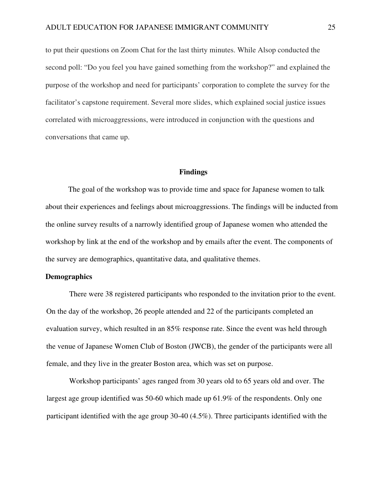to put their questions on Zoom Chat for the last thirty minutes. While Alsop conducted the second poll: "Do you feel you have gained something from the workshop?" and explained the purpose of the workshop and need for participants' corporation to complete the survey for the facilitator's capstone requirement. Several more slides, which explained social justice issues correlated with microaggressions, were introduced in conjunction with the questions and conversations that came up.

## **Findings**

 The goal of the workshop was to provide time and space for Japanese women to talk about their experiences and feelings about microaggressions. The findings will be inducted from the online survey results of a narrowly identified group of Japanese women who attended the workshop by link at the end of the workshop and by emails after the event. The components of the survey are demographics, quantitative data, and qualitative themes.

#### **Demographics**

There were 38 registered participants who responded to the invitation prior to the event. On the day of the workshop, 26 people attended and 22 of the participants completed an evaluation survey, which resulted in an 85% response rate. Since the event was held through the venue of Japanese Women Club of Boston (JWCB), the gender of the participants were all female, and they live in the greater Boston area, which was set on purpose.

Workshop participants' ages ranged from 30 years old to 65 years old and over. The largest age group identified was 50-60 which made up 61.9% of the respondents. Only one participant identified with the age group 30-40 (4.5%). Three participants identified with the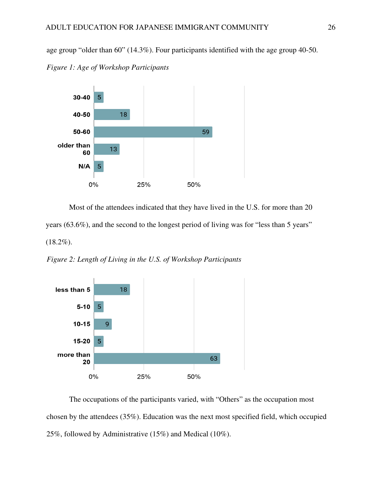age group "older than 60" (14.3%). Four participants identified with the age group 40-50. *Figure 1: Age of Workshop Participants*



Most of the attendees indicated that they have lived in the U.S. for more than 20 years (63.6%), and the second to the longest period of living was for "less than 5 years"  $(18.2\%)$ .

*Figure 2: Length of Living in the U.S. of Workshop Participants* 



The occupations of the participants varied, with "Others" as the occupation most chosen by the attendees (35%). Education was the next most specified field, which occupied 25%, followed by Administrative (15%) and Medical (10%).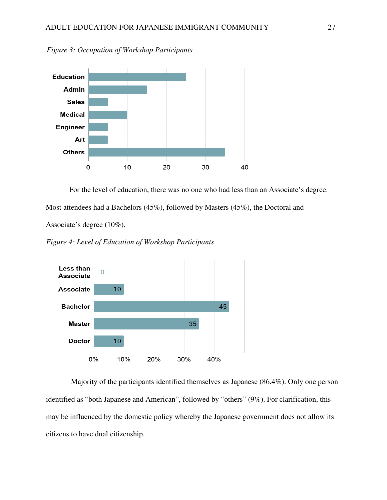

*Figure 3: Occupation of Workshop Participants* 

For the level of education, there was no one who had less than an Associate's degree. Most attendees had a Bachelors (45%), followed by Masters (45%), the Doctoral and

Associate's degree (10%).

*Figure 4: Level of Education of Workshop Participants* 



Majority of the participants identified themselves as Japanese (86.4%). Only one person identified as "both Japanese and American", followed by "others" (9%). For clarification, this may be influenced by the domestic policy whereby the Japanese government does not allow its citizens to have dual citizenship.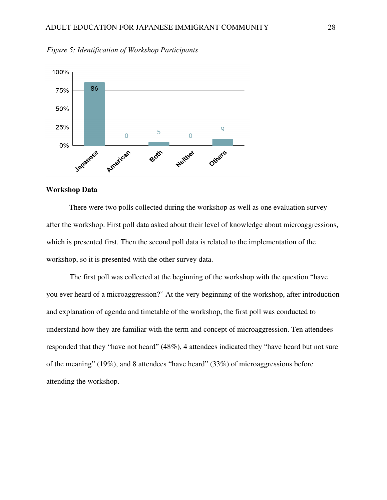

*Figure 5: Identification of Workshop Participants* 

## **Workshop Data**

There were two polls collected during the workshop as well as one evaluation survey after the workshop. First poll data asked about their level of knowledge about microaggressions, which is presented first. Then the second poll data is related to the implementation of the workshop, so it is presented with the other survey data.

The first poll was collected at the beginning of the workshop with the question "have you ever heard of a microaggression?" At the very beginning of the workshop, after introduction and explanation of agenda and timetable of the workshop, the first poll was conducted to understand how they are familiar with the term and concept of microaggression. Ten attendees responded that they "have not heard" (48%), 4 attendees indicated they "have heard but not sure of the meaning" (19%), and 8 attendees "have heard" (33%) of microaggressions before attending the workshop.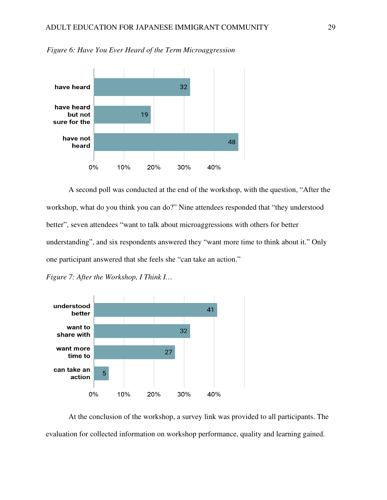

*Figure 6: Have You Ever Heard of the Term Microaggression*

A second poll was conducted at the end of the workshop, with the question, "After the workshop, what do you think you can do?" Nine attendees responded that "they understood better", seven attendees "want to talk about microaggressions with others for better understanding", and six respondents answered they "want more time to think about it." Only one participant answered that she feels she "can take an action."





At the conclusion of the workshop, a survey link was provided to all participants. The evaluation for collected information on workshop performance, quality and learning gained.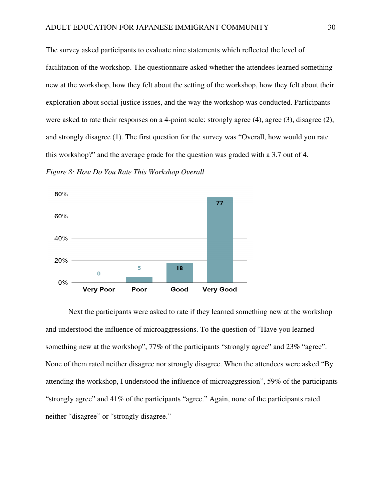The survey asked participants to evaluate nine statements which reflected the level of facilitation of the workshop. The questionnaire asked whether the attendees learned something new at the workshop, how they felt about the setting of the workshop, how they felt about their exploration about social justice issues, and the way the workshop was conducted. Participants were asked to rate their responses on a 4-point scale: strongly agree (4), agree (3), disagree (2), and strongly disagree (1). The first question for the survey was "Overall, how would you rate this workshop?" and the average grade for the question was graded with a 3.7 out of 4.





Next the participants were asked to rate if they learned something new at the workshop and understood the influence of microaggressions. To the question of "Have you learned something new at the workshop", 77% of the participants "strongly agree" and 23% "agree". None of them rated neither disagree nor strongly disagree. When the attendees were asked "By attending the workshop, I understood the influence of microaggression", 59% of the participants "strongly agree" and 41% of the participants "agree." Again, none of the participants rated neither "disagree" or "strongly disagree."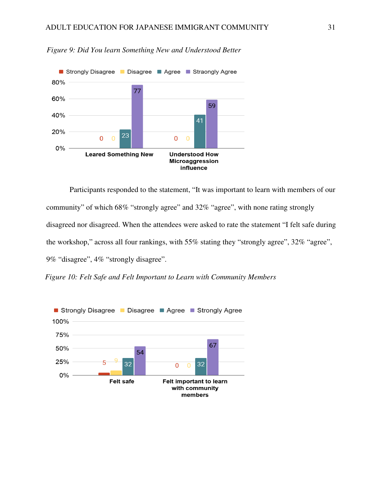

*Figure 9: Did You learn Something New and Understood Better*

Participants responded to the statement, "It was important to learn with members of our community" of which 68% "strongly agree" and 32% "agree", with none rating strongly disagreed nor disagreed. When the attendees were asked to rate the statement "I felt safe during the workshop," across all four rankings, with 55% stating they "strongly agree", 32% "agree", 9% "disagree", 4% "strongly disagree".

*Figure 10: Felt Safe and Felt Important to Learn with Community Members* 

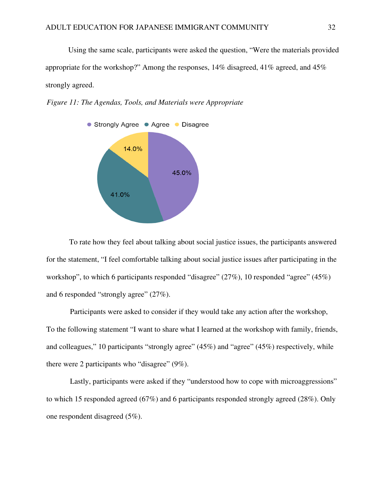Using the same scale, participants were asked the question, "Were the materials provided appropriate for the workshop?" Among the responses, 14% disagreed, 41% agreed, and 45% strongly agreed.





To rate how they feel about talking about social justice issues, the participants answered for the statement, "I feel comfortable talking about social justice issues after participating in the workshop", to which 6 participants responded "disagree" (27%), 10 responded "agree" (45%) and 6 responded "strongly agree" (27%).

Participants were asked to consider if they would take any action after the workshop, To the following statement "I want to share what I learned at the workshop with family, friends, and colleagues," 10 participants "strongly agree" (45%) and "agree" (45%) respectively, while there were 2 participants who "disagree" (9%).

Lastly, participants were asked if they "understood how to cope with microaggressions" to which 15 responded agreed (67%) and 6 participants responded strongly agreed (28%). Only one respondent disagreed (5%).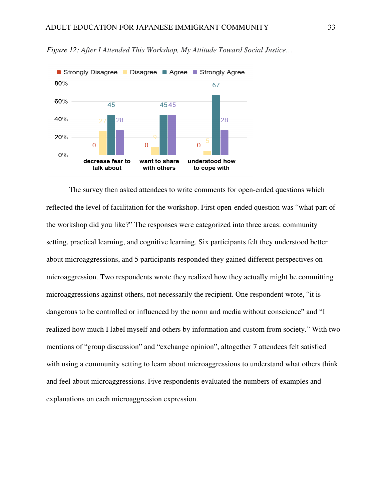

*Figure 12: After I Attended This Workshop, My Attitude Toward Social Justice…*

The survey then asked attendees to write comments for open-ended questions which reflected the level of facilitation for the workshop. First open-ended question was "what part of the workshop did you like?" The responses were categorized into three areas: community setting, practical learning, and cognitive learning. Six participants felt they understood better about microaggressions, and 5 participants responded they gained different perspectives on microaggression. Two respondents wrote they realized how they actually might be committing microaggressions against others, not necessarily the recipient. One respondent wrote, "it is dangerous to be controlled or influenced by the norm and media without conscience" and "I realized how much I label myself and others by information and custom from society." With two mentions of "group discussion" and "exchange opinion", altogether 7 attendees felt satisfied with using a community setting to learn about microaggressions to understand what others think and feel about microaggressions. Five respondents evaluated the numbers of examples and explanations on each microaggression expression.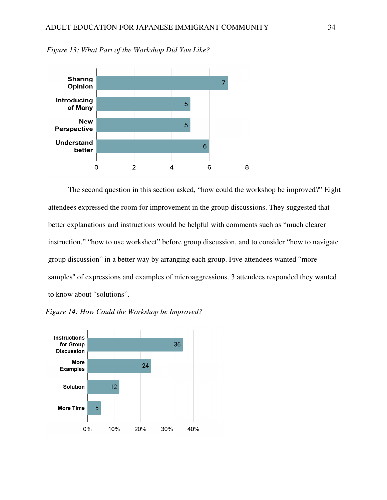

*Figure 13: What Part of the Workshop Did You Like?*

The second question in this section asked, "how could the workshop be improved?" Eight attendees expressed the room for improvement in the group discussions. They suggested that better explanations and instructions would be helpful with comments such as "much clearer instruction," "how to use worksheet" before group discussion, and to consider "how to navigate group discussion" in a better way by arranging each group. Five attendees wanted "more samples'' of expressions and examples of microaggressions. 3 attendees responded they wanted to know about "solutions".



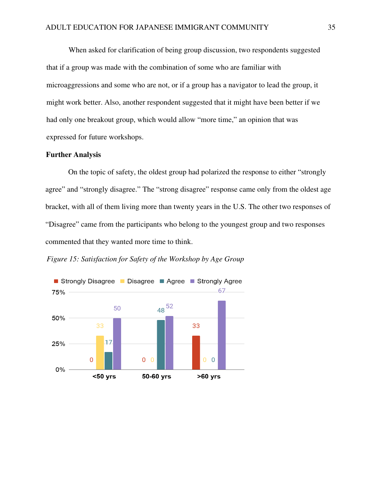When asked for clarification of being group discussion, two respondents suggested that if a group was made with the combination of some who are familiar with microaggressions and some who are not, or if a group has a navigator to lead the group, it might work better. Also, another respondent suggested that it might have been better if we had only one breakout group, which would allow "more time," an opinion that was expressed for future workshops.

#### **Further Analysis**

On the topic of safety, the oldest group had polarized the response to either "strongly agree" and "strongly disagree." The "strong disagree" response came only from the oldest age bracket, with all of them living more than twenty years in the U.S. The other two responses of "Disagree" came from the participants who belong to the youngest group and two responses commented that they wanted more time to think.

*Figure 15: Satisfaction for Safety of the Workshop by Age Group* 

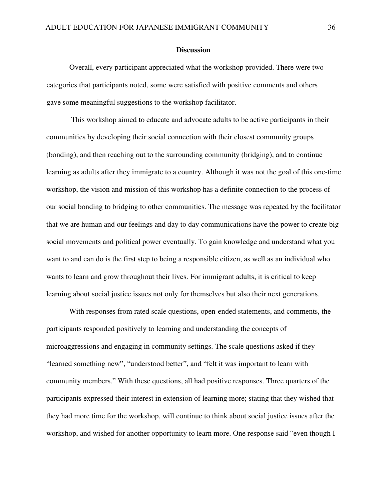#### **Discussion**

Overall, every participant appreciated what the workshop provided. There were two categories that participants noted, some were satisfied with positive comments and others gave some meaningful suggestions to the workshop facilitator.

 This workshop aimed to educate and advocate adults to be active participants in their communities by developing their social connection with their closest community groups (bonding), and then reaching out to the surrounding community (bridging), and to continue learning as adults after they immigrate to a country. Although it was not the goal of this one-time workshop, the vision and mission of this workshop has a definite connection to the process of our social bonding to bridging to other communities. The message was repeated by the facilitator that we are human and our feelings and day to day communications have the power to create big social movements and political power eventually. To gain knowledge and understand what you want to and can do is the first step to being a responsible citizen, as well as an individual who wants to learn and grow throughout their lives. For immigrant adults, it is critical to keep learning about social justice issues not only for themselves but also their next generations.

With responses from rated scale questions, open-ended statements, and comments, the participants responded positively to learning and understanding the concepts of microaggressions and engaging in community settings. The scale questions asked if they "learned something new", "understood better", and "felt it was important to learn with community members." With these questions, all had positive responses. Three quarters of the participants expressed their interest in extension of learning more; stating that they wished that they had more time for the workshop, will continue to think about social justice issues after the workshop, and wished for another opportunity to learn more. One response said "even though I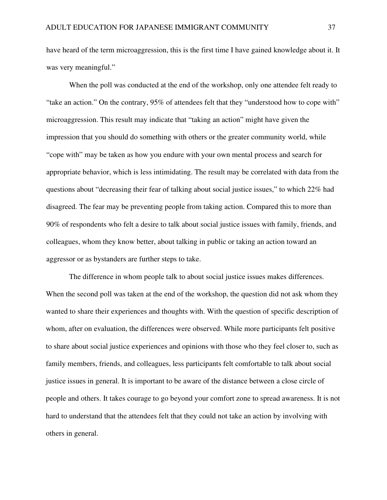have heard of the term microaggression, this is the first time I have gained knowledge about it. It was very meaningful."

When the poll was conducted at the end of the workshop, only one attendee felt ready to "take an action." On the contrary, 95% of attendees felt that they "understood how to cope with" microaggression. This result may indicate that "taking an action" might have given the impression that you should do something with others or the greater community world, while "cope with" may be taken as how you endure with your own mental process and search for appropriate behavior, which is less intimidating. The result may be correlated with data from the questions about "decreasing their fear of talking about social justice issues," to which 22% had disagreed. The fear may be preventing people from taking action. Compared this to more than 90% of respondents who felt a desire to talk about social justice issues with family, friends, and colleagues, whom they know better, about talking in public or taking an action toward an aggressor or as bystanders are further steps to take.

The difference in whom people talk to about social justice issues makes differences. When the second poll was taken at the end of the workshop, the question did not ask whom they wanted to share their experiences and thoughts with. With the question of specific description of whom, after on evaluation, the differences were observed. While more participants felt positive to share about social justice experiences and opinions with those who they feel closer to, such as family members, friends, and colleagues, less participants felt comfortable to talk about social justice issues in general. It is important to be aware of the distance between a close circle of people and others. It takes courage to go beyond your comfort zone to spread awareness. It is not hard to understand that the attendees felt that they could not take an action by involving with others in general.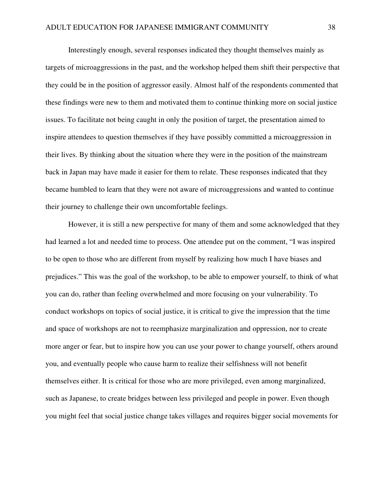Interestingly enough, several responses indicated they thought themselves mainly as targets of microaggressions in the past, and the workshop helped them shift their perspective that they could be in the position of aggressor easily. Almost half of the respondents commented that these findings were new to them and motivated them to continue thinking more on social justice issues. To facilitate not being caught in only the position of target, the presentation aimed to inspire attendees to question themselves if they have possibly committed a microaggression in their lives. By thinking about the situation where they were in the position of the mainstream back in Japan may have made it easier for them to relate. These responses indicated that they became humbled to learn that they were not aware of microaggressions and wanted to continue their journey to challenge their own uncomfortable feelings.

However, it is still a new perspective for many of them and some acknowledged that they had learned a lot and needed time to process. One attendee put on the comment, "I was inspired to be open to those who are different from myself by realizing how much I have biases and prejudices." This was the goal of the workshop, to be able to empower yourself, to think of what you can do, rather than feeling overwhelmed and more focusing on your vulnerability. To conduct workshops on topics of social justice, it is critical to give the impression that the time and space of workshops are not to reemphasize marginalization and oppression, nor to create more anger or fear, but to inspire how you can use your power to change yourself, others around you, and eventually people who cause harm to realize their selfishness will not benefit themselves either. It is critical for those who are more privileged, even among marginalized, such as Japanese, to create bridges between less privileged and people in power. Even though you might feel that social justice change takes villages and requires bigger social movements for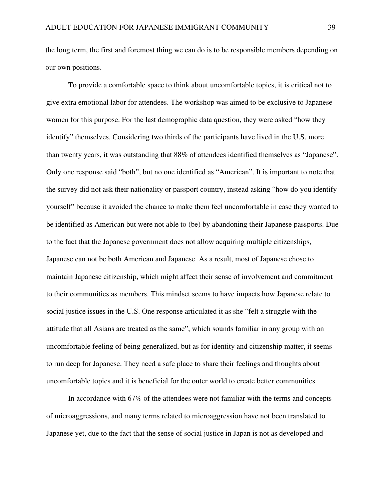the long term, the first and foremost thing we can do is to be responsible members depending on our own positions.

To provide a comfortable space to think about uncomfortable topics, it is critical not to give extra emotional labor for attendees. The workshop was aimed to be exclusive to Japanese women for this purpose. For the last demographic data question, they were asked "how they identify" themselves. Considering two thirds of the participants have lived in the U.S. more than twenty years, it was outstanding that 88% of attendees identified themselves as "Japanese". Only one response said "both", but no one identified as "American". It is important to note that the survey did not ask their nationality or passport country, instead asking "how do you identify yourself" because it avoided the chance to make them feel uncomfortable in case they wanted to be identified as American but were not able to (be) by abandoning their Japanese passports. Due to the fact that the Japanese government does not allow acquiring multiple citizenships, Japanese can not be both American and Japanese. As a result, most of Japanese chose to maintain Japanese citizenship, which might affect their sense of involvement and commitment to their communities as members. This mindset seems to have impacts how Japanese relate to social justice issues in the U.S. One response articulated it as she "felt a struggle with the attitude that all Asians are treated as the same", which sounds familiar in any group with an uncomfortable feeling of being generalized, but as for identity and citizenship matter, it seems to run deep for Japanese. They need a safe place to share their feelings and thoughts about uncomfortable topics and it is beneficial for the outer world to create better communities.

In accordance with 67% of the attendees were not familiar with the terms and concepts of microaggressions, and many terms related to microaggression have not been translated to Japanese yet, due to the fact that the sense of social justice in Japan is not as developed and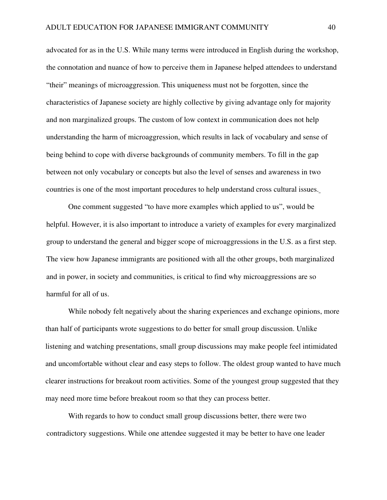advocated for as in the U.S. While many terms were introduced in English during the workshop, the connotation and nuance of how to perceive them in Japanese helped attendees to understand "their" meanings of microaggression. This uniqueness must not be forgotten, since the characteristics of Japanese society are highly collective by giving advantage only for majority and non marginalized groups. The custom of low context in communication does not help understanding the harm of microaggression, which results in lack of vocabulary and sense of being behind to cope with diverse backgrounds of community members. To fill in the gap between not only vocabulary or concepts but also the level of senses and awareness in two countries is one of the most important procedures to help understand cross cultural issues.

One comment suggested "to have more examples which applied to us", would be helpful. However, it is also important to introduce a variety of examples for every marginalized group to understand the general and bigger scope of microaggressions in the U.S. as a first step. The view how Japanese immigrants are positioned with all the other groups, both marginalized and in power, in society and communities, is critical to find why microaggressions are so harmful for all of us.

While nobody felt negatively about the sharing experiences and exchange opinions, more than half of participants wrote suggestions to do better for small group discussion. Unlike listening and watching presentations, small group discussions may make people feel intimidated and uncomfortable without clear and easy steps to follow. The oldest group wanted to have much clearer instructions for breakout room activities. Some of the youngest group suggested that they may need more time before breakout room so that they can process better.

With regards to how to conduct small group discussions better, there were two contradictory suggestions. While one attendee suggested it may be better to have one leader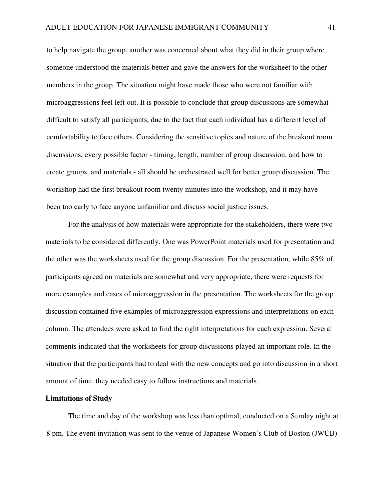to help navigate the group, another was concerned about what they did in their group where someone understood the materials better and gave the answers for the worksheet to the other members in the group. The situation might have made those who were not familiar with microaggressions feel left out. It is possible to conclude that group discussions are somewhat difficult to satisfy all participants, due to the fact that each individual has a different level of comfortability to face others. Considering the sensitive topics and nature of the breakout room discussions, every possible factor - timing, length, number of group discussion, and how to create groups, and materials - all should be orchestrated well for better group discussion. The workshop had the first breakout room twenty minutes into the workshop, and it may have been too early to face anyone unfamiliar and discuss social justice issues.

For the analysis of how materials were appropriate for the stakeholders, there were two materials to be considered differently. One was PowerPoint materials used for presentation and the other was the worksheets used for the group discussion. For the presentation, while 85% of participants agreed on materials are somewhat and very appropriate, there were requests for more examples and cases of microaggression in the presentation. The worksheets for the group discussion contained five examples of microaggression expressions and interpretations on each column. The attendees were asked to find the right interpretations for each expression. Several comments indicated that the worksheets for group discussions played an important role. In the situation that the participants had to deal with the new concepts and go into discussion in a short amount of time, they needed easy to follow instructions and materials.

#### **Limitations of Study**

The time and day of the workshop was less than optimal, conducted on a Sunday night at 8 pm. The event invitation was sent to the venue of Japanese Women's Club of Boston (JWCB)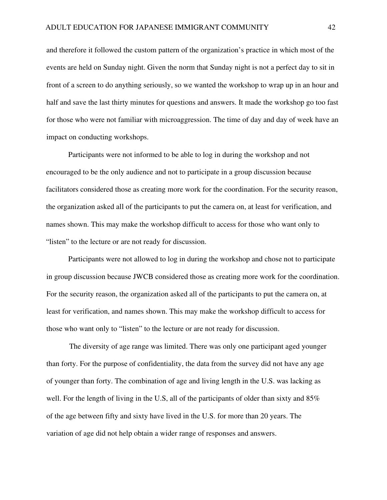and therefore it followed the custom pattern of the organization's practice in which most of the events are held on Sunday night. Given the norm that Sunday night is not a perfect day to sit in front of a screen to do anything seriously, so we wanted the workshop to wrap up in an hour and half and save the last thirty minutes for questions and answers. It made the workshop go too fast for those who were not familiar with microaggression. The time of day and day of week have an impact on conducting workshops.

Participants were not informed to be able to log in during the workshop and not encouraged to be the only audience and not to participate in a group discussion because facilitators considered those as creating more work for the coordination. For the security reason, the organization asked all of the participants to put the camera on, at least for verification, and names shown. This may make the workshop difficult to access for those who want only to "listen" to the lecture or are not ready for discussion.

Participants were not allowed to log in during the workshop and chose not to participate in group discussion because JWCB considered those as creating more work for the coordination. For the security reason, the organization asked all of the participants to put the camera on, at least for verification, and names shown. This may make the workshop difficult to access for those who want only to "listen" to the lecture or are not ready for discussion.

The diversity of age range was limited. There was only one participant aged younger than forty. For the purpose of confidentiality, the data from the survey did not have any age of younger than forty. The combination of age and living length in the U.S. was lacking as well. For the length of living in the U.S, all of the participants of older than sixty and 85% of the age between fifty and sixty have lived in the U.S. for more than 20 years. The variation of age did not help obtain a wider range of responses and answers.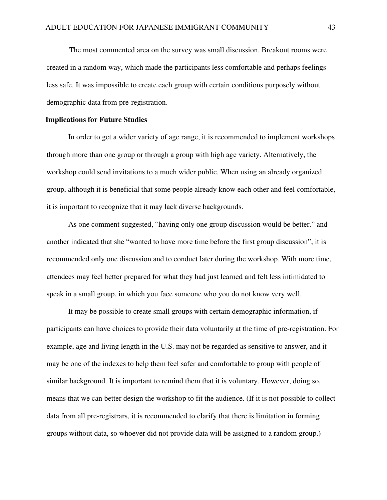The most commented area on the survey was small discussion. Breakout rooms were created in a random way, which made the participants less comfortable and perhaps feelings less safe. It was impossible to create each group with certain conditions purposely without demographic data from pre-registration.

## **Implications for Future Studies**

 In order to get a wider variety of age range, it is recommended to implement workshops through more than one group or through a group with high age variety. Alternatively, the workshop could send invitations to a much wider public. When using an already organized group, although it is beneficial that some people already know each other and feel comfortable, it is important to recognize that it may lack diverse backgrounds.

As one comment suggested, "having only one group discussion would be better." and another indicated that she "wanted to have more time before the first group discussion", it is recommended only one discussion and to conduct later during the workshop. With more time, attendees may feel better prepared for what they had just learned and felt less intimidated to speak in a small group, in which you face someone who you do not know very well.

It may be possible to create small groups with certain demographic information, if participants can have choices to provide their data voluntarily at the time of pre-registration. For example, age and living length in the U.S. may not be regarded as sensitive to answer, and it may be one of the indexes to help them feel safer and comfortable to group with people of similar background. It is important to remind them that it is voluntary. However, doing so, means that we can better design the workshop to fit the audience. (If it is not possible to collect data from all pre-registrars, it is recommended to clarify that there is limitation in forming groups without data, so whoever did not provide data will be assigned to a random group.)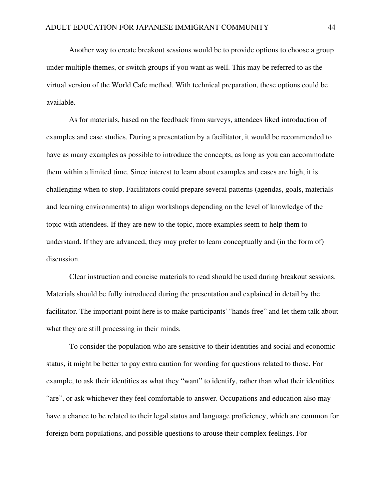Another way to create breakout sessions would be to provide options to choose a group under multiple themes, or switch groups if you want as well. This may be referred to as the virtual version of the World Cafe method. With technical preparation, these options could be available.

As for materials, based on the feedback from surveys, attendees liked introduction of examples and case studies. During a presentation by a facilitator, it would be recommended to have as many examples as possible to introduce the concepts, as long as you can accommodate them within a limited time. Since interest to learn about examples and cases are high, it is challenging when to stop. Facilitators could prepare several patterns (agendas, goals, materials and learning environments) to align workshops depending on the level of knowledge of the topic with attendees. If they are new to the topic, more examples seem to help them to understand. If they are advanced, they may prefer to learn conceptually and (in the form of) discussion.

Clear instruction and concise materials to read should be used during breakout sessions. Materials should be fully introduced during the presentation and explained in detail by the facilitator. The important point here is to make participants' "hands free" and let them talk about what they are still processing in their minds.

To consider the population who are sensitive to their identities and social and economic status, it might be better to pay extra caution for wording for questions related to those. For example, to ask their identities as what they "want" to identify, rather than what their identities "are", or ask whichever they feel comfortable to answer. Occupations and education also may have a chance to be related to their legal status and language proficiency, which are common for foreign born populations, and possible questions to arouse their complex feelings. For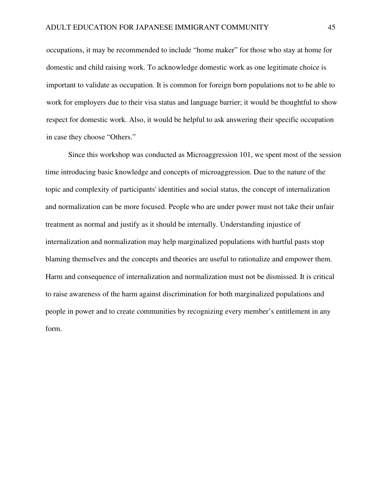occupations, it may be recommended to include "home maker" for those who stay at home for domestic and child raising work. To acknowledge domestic work as one legitimate choice is important to validate as occupation. It is common for foreign born populations not to be able to work for employers due to their visa status and language barrier; it would be thoughtful to show respect for domestic work. Also, it would be helpful to ask answering their specific occupation in case they choose "Others."

Since this workshop was conducted as Microaggression 101, we spent most of the session time introducing basic knowledge and concepts of microaggression. Due to the nature of the topic and complexity of participants' identities and social status, the concept of internalization and normalization can be more focused. People who are under power must not take their unfair treatment as normal and justify as it should be internally. Understanding injustice of internalization and normalization may help marginalized populations with hurtful pasts stop blaming themselves and the concepts and theories are useful to rationalize and empower them. Harm and consequence of internalization and normalization must not be dismissed. It is critical to raise awareness of the harm against discrimination for both marginalized populations and people in power and to create communities by recognizing every member's entitlement in any form.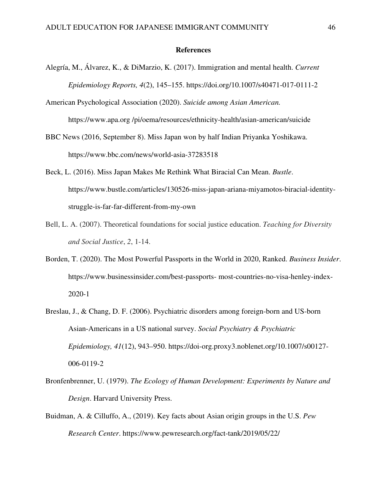#### **References**

- Alegría, M., Álvarez, K., & DiMarzio, K. (2017). Immigration and mental health. *Current Epidemiology Reports, 4*(2), 145–155. https://doi.org/10.1007/s40471-017-0111-2
- American Psychological Association (2020). *Suicide among Asian American.*  https://www.apa.org /pi/oema/resources/ethnicity-health/asian-american/suicide
- BBC News (2016, September 8). Miss Japan won by half Indian Priyanka Yoshikawa. https://www.bbc.com/news/world-asia-37283518
- Beck, L. (2016). Miss Japan Makes Me Rethink What Biracial Can Mean. *Bustle*. https://www.bustle.com/articles/130526-miss-japan-ariana-miyamotos-biracial-identitystruggle-is-far-far-different-from-my-own
- Bell, L. A. (2007). Theoretical foundations for social justice education. *Teaching for Diversity and Social Justice*, *2*, 1-14.
- Borden, T. (2020). The Most Powerful Passports in the World in 2020, Ranked. *Business Insider*. https://www.businessinsider.com/best-passports- most-countries-no-visa-henley-index-2020-1
- Breslau, J., & Chang, D. F. (2006). Psychiatric disorders among foreign-born and US-born Asian-Americans in a US national survey. *Social Psychiatry & Psychiatric Epidemiology, 41*(12), 943–950. https://doi-org.proxy3.noblenet.org/10.1007/s00127- 006-0119-2
- Bronfenbrenner, U. (1979). *The Ecology of Human Development: Experiments by Nature and Design*. Harvard University Press.
- Buidman, A. & Cilluffo, A., (2019). Key facts about Asian origin groups in the U.S. *Pew Research Center*. https://www.pewresearch.org/fact-tank/2019/05/22/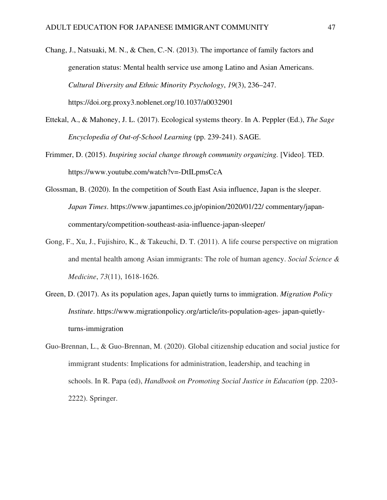- Chang, J., Natsuaki, M. N., & Chen, C.-N. (2013). The importance of family factors and generation status: Mental health service use among Latino and Asian Americans. *Cultural Diversity and Ethnic Minority Psychology*, *19*(3), 236–247. https://doi.org.proxy3.noblenet.org/10.1037/a0032901
- Ettekal, A., & Mahoney, J. L. (2017). Ecological systems theory. In A. Peppler (Ed.), *The Sage Encyclopedia of Out-of-School Learning* (pp. 239-241). SAGE.
- Frimmer, D. (2015). *Inspiring social change through community organizing.* [Video]. TED. https://www.youtube.com/watch?v=-DtILpmsCcA
- Glossman, B. (2020). In the competition of South East Asia influence, Japan is the sleeper. *Japan Times*. https://www.japantimes.co.jp/opinion/2020/01/22/ commentary/japancommentary/competition-southeast-asia-influence-japan-sleeper/
- Gong, F., Xu, J., Fujishiro, K., & Takeuchi, D. T. (2011). A life course perspective on migration and mental health among Asian immigrants: The role of human agency. *Social Science & Medicine*, *73*(11), 1618-1626.
- Green, D. (2017). As its population ages, Japan quietly turns to immigration. *Migration Policy Institute*. https://www.migrationpolicy.org/article/its-population-ages- japan-quietlyturns-immigration
- Guo-Brennan, L., & Guo-Brennan, M. (2020). Global citizenship education and social justice for immigrant students: Implications for administration, leadership, and teaching in schools. In R. Papa (ed), *Handbook on Promoting Social Justice in Education* (pp. 2203- 2222). Springer.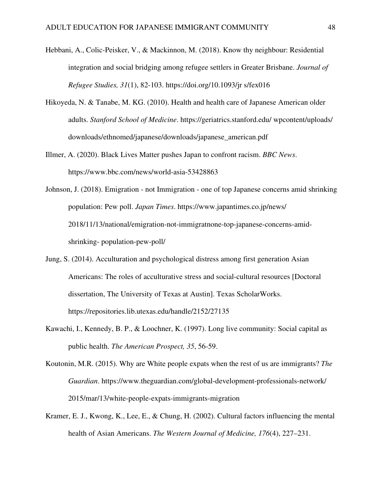- Hebbani, A., Colic-Peisker, V., & Mackinnon, M. (2018). Know thy neighbour: Residential integration and social bridging among refugee settlers in Greater Brisbane. *Journal of Refugee Studies, 31*(1), 82-103. https://doi.org/10.1093/jr s/fex016
- Hikoyeda, N. & Tanabe, M. KG. (2010). Health and health care of Japanese American older adults. *Stanford School of Medicine*. https://geriatrics.stanford.edu/ wpcontent/uploads/ downloads/ethnomed/japanese/downloads/japanese\_american.pdf
- Illmer, A. (2020). Black Lives Matter pushes Japan to confront racism. *BBC News*. https://www.bbc.com/news/world-asia-53428863
- Johnson, J. (2018). Emigration not Immigration one of top Japanese concerns amid shrinking population: Pew poll. *Japan Times*. https://www.japantimes.co.jp/news/ 2018/11/13/national/emigration-not-immigratnone-top-japanese-concerns-amidshrinking- population-pew-poll/
- Jung, S. (2014). Acculturation and psychological distress among first generation Asian Americans: The roles of acculturative stress and social-cultural resources [Doctoral dissertation, The University of Texas at Austin]. Texas ScholarWorks. https://repositories.lib.utexas.edu/handle/2152/27135
- Kawachi, I., Kennedy, B. P., & Loochner, K. (1997). Long live community: Social capital as public health. *The American Prospect, 35*, 56-59.
- Koutonin, M.R. (2015). Why are White people expats when the rest of us are immigrants? *The Guardian*. https://www.theguardian.com/global-development-professionals-network/ 2015/mar/13/white-people-expats-immigrants-migration
- Kramer, E. J., Kwong, K., Lee, E., & Chung, H. (2002). Cultural factors influencing the mental health of Asian Americans. *The Western Journal of Medicine, 176*(4), 227–231.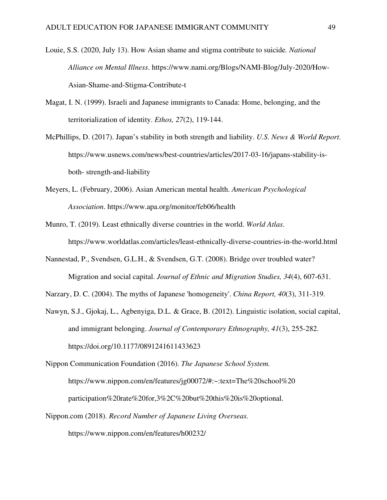- Louie, S.S. (2020, July 13). How Asian shame and stigma contribute to suicide*. National Alliance on Mental Illness*. https://www.nami.org/Blogs/NAMI-Blog/July-2020/How-Asian-Shame-and-Stigma-Contribute-t
- Magat, I. N. (1999). Israeli and Japanese immigrants to Canada: Home, belonging, and the territorialization of identity. *Ethos, 27*(2), 119-144.
- McPhillips, D. (2017). Japan's stability in both strength and liability. *U.S. News & World Report*. https://www.usnews.com/news/best-countries/articles/2017-03-16/japans-stability-isboth- strength-and-liability
- Meyers, L. (February, 2006). Asian American mental health. *American Psychological Association*. https://www.apa.org/monitor/feb06/health
- Munro, T. (2019). Least ethnically diverse countries in the world. *World Atlas*. https://www.worldatlas.com/articles/least-ethnically-diverse-countries-in-the-world.html
- Nannestad, P., Svendsen, G.L.H., & Svendsen, G.T. (2008). Bridge over troubled water? Migration and social capital. *Journal of Ethnic and Migration Studies, 34*(4), 607-631.
- Narzary, D. C. (2004). The myths of Japanese 'homogeneity'. *China Report, 40*(3), 311-319.
- Nawyn, S.J., Gjokaj, L., Agbenyiga, D.L. & Grace, B. (2012). Linguistic isolation, social capital, and immigrant belonging. *Journal of Contemporary Ethnography, 41*(3), 255-282. https://doi.org/10.1177/0891241611433623
- Nippon Communication Foundation (2016). *The Japanese School System.* https://www.nippon.com/en/features/jg00072/#:~:text=The%20school%20 participation%20rate%20for,3%2C%20but%20this%20is%20optional.
- Nippon.com (2018). *Record Number of Japanese Living Overseas.*  https://www.nippon.com/en/features/h00232/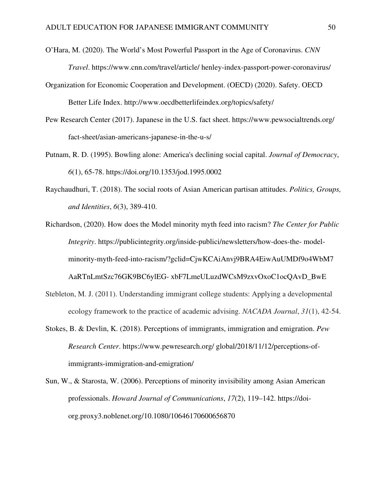- O'Hara, M. (2020). The World's Most Powerful Passport in the Age of Coronavirus. *CNN Travel*. https://www.cnn.com/travel/article/ henley-index-passport-power-coronavirus/
- Organization for Economic Cooperation and Development. (OECD) (2020). Safety. OECD Better Life Index. http://www.oecdbetterlifeindex.org/topics/safety/
- Pew Research Center (2017). Japanese in the U.S. fact sheet. https://www.pewsocialtrends.org/ fact-sheet/asian-americans-japanese-in-the-u-s/
- Putnam, R. D. (1995). Bowling alone: America's declining social capital. *Journal of Democracy*, *6*(1), 65-78. https://doi.org/10.1353/jod.1995.0002
- Raychaudhuri, T. (2018). The social roots of Asian American partisan attitudes. *Politics, Groups, and Identities*, *6*(3), 389-410.
- Richardson, (2020). How does the Model minority myth feed into racism? *The Center for Public Integrity*. https://publicintegrity.org/inside-publici/newsletters/how-does-the- modelminority-myth-feed-into-racism/?gclid=CjwKCAiAnvj9BRA4EiwAuUMDf9o4WbM7 AaRTnLmtSzc76GK9BC6ylEG- xbF7LmeULuzdWCsM9zxvOxoC1ocQAvD\_BwE
- Stebleton, M. J. (2011). Understanding immigrant college students: Applying a developmental ecology framework to the practice of academic advising. *NACADA Journal*, *31*(1), 42-54.
- Stokes, B. & Devlin, K. (2018). Perceptions of immigrants, immigration and emigration. *Pew Research Center*. https://www.pewresearch.org/ global/2018/11/12/perceptions-ofimmigrants-immigration-and-emigration/
- Sun, W., & Starosta, W. (2006). Perceptions of minority invisibility among Asian American professionals. *Howard Journal of Communications*, *17*(2), 119–142. https://doiorg.proxy3.noblenet.org/10.1080/10646170600656870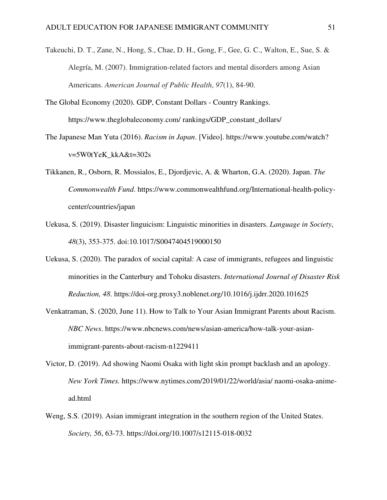- Takeuchi, D. T., Zane, N., Hong, S., Chae, D. H., Gong, F., Gee, G. C., Walton, E., Sue, S. & Alegría, M. (2007). Immigration-related factors and mental disorders among Asian Americans. *American Journal of Public Health*, *97*(1), 84-90.
- The Global Economy (2020). GDP, Constant Dollars Country Rankings. https://www.theglobaleconomy.com/ rankings/GDP\_constant\_dollars/
- The Japanese Man Yuta (2016). *Racism in Japan*. [Video]. https://www.youtube.com/watch? v=5W0tYeK\_kkA&t=302s
- Tikkanen, R., Osborn, R. Mossialos, E., Djordjevic, A. & Wharton, G.A. (2020). Japan. *The Commonwealth Fund*. https://www.commonwealthfund.org/International-health-policycenter/countries/japan
- Uekusa, S. (2019). Disaster linguicism: Linguistic minorities in disasters. *Language in Society*, *48*(3), 353-375. doi:10.1017/S0047404519000150
- Uekusa, S. (2020). The paradox of social capital: A case of immigrants, refugees and linguistic minorities in the Canterbury and Tohoku disasters. *International Journal of Disaster Risk Reduction, 48*. https://doi-org.proxy3.noblenet.org/10.1016/j.ijdrr.2020.101625
- Venkatraman, S. (2020, June 11). How to Talk to Your Asian Immigrant Parents about Racism. *NBC News*. https://www.nbcnews.com/news/asian-america/how-talk-your-asianimmigrant-parents-about-racism-n1229411
- Victor, D. (2019). Ad showing Naomi Osaka with light skin prompt backlash and an apology. *New York Times.* https://www.nytimes.com/2019/01/22/world/asia/ naomi-osaka-animead.html
- Weng, S.S. (2019). Asian immigrant integration in the southern region of the United States. *Society, 56*, 63-73. https://doi.org/10.1007/s12115-018-0032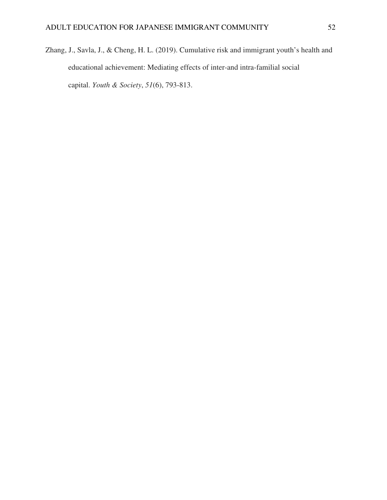Zhang, J., Savla, J., & Cheng, H. L. (2019). Cumulative risk and immigrant youth's health and educational achievement: Mediating effects of inter-and intra-familial social capital. *Youth & Society*, *51*(6), 793-813.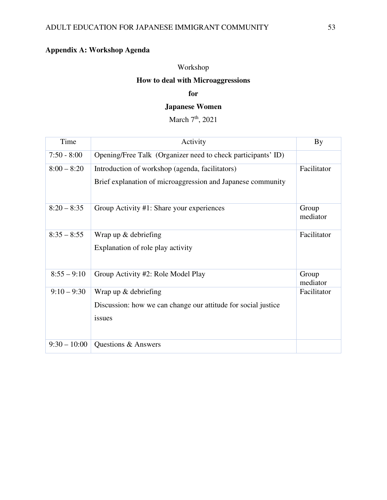# **Appendix A: Workshop Agenda**

# Workshop

# **How to deal with Microaggressions**

# **for**

# **Japanese Women**

March 7<sup>th</sup>, 2021

| Time           | Activity                                                                                                       | <b>By</b>         |
|----------------|----------------------------------------------------------------------------------------------------------------|-------------------|
| $7:50 - 8:00$  | Opening/Free Talk (Organizer need to check participants' ID)                                                   |                   |
| $8:00 - 8:20$  | Introduction of workshop (agenda, facilitators)<br>Brief explanation of microaggression and Japanese community | Facilitator       |
| $8:20 - 8:35$  | Group Activity #1: Share your experiences                                                                      | Group<br>mediator |
| $8:35 - 8:55$  | Wrap up & debriefing<br>Explanation of role play activity                                                      | Facilitator       |
| $8:55 - 9:10$  | Group Activity #2: Role Model Play                                                                             | Group<br>mediator |
| $9:10 - 9:30$  | Wrap up $&$ debriefing<br>Discussion: how we can change our attitude for social justice<br>issues              | Facilitator       |
| $9:30 - 10:00$ | Questions & Answers                                                                                            |                   |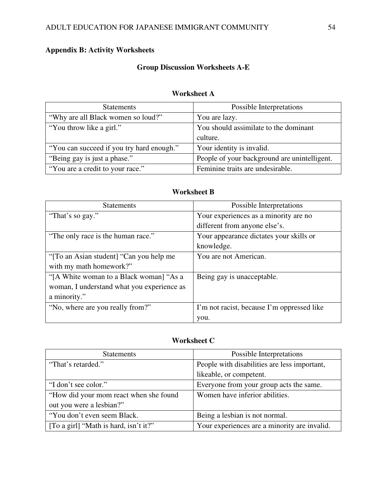# **Appendix B: Activity Worksheets**

# **Group Discussion Worksheets A-E**

## **Worksheet A**

| <b>Statements</b>                         | Possible Interpretations                     |
|-------------------------------------------|----------------------------------------------|
| "Why are all Black women so loud?"        | You are lazy.                                |
| "You throw like a girl."                  | You should assimilate to the dominant        |
|                                           | culture.                                     |
| "You can succeed if you try hard enough." | Your identity is invalid.                    |
| "Being gay is just a phase."              | People of your background are unintelligent. |
| "You are a credit to your race."          | Feminine traits are undesirable.             |

# **Worksheet B**

| <b>Statements</b>                          | Possible Interpretations                   |
|--------------------------------------------|--------------------------------------------|
| "That's so gay."                           | Your experiences as a minority are no      |
|                                            | different from anyone else's.              |
| "The only race is the human race."         | Your appearance dictates your skills or    |
|                                            | knowledge.                                 |
| "To an Asian student] "Can you help me"    | You are not American.                      |
| with my math homework?"                    |                                            |
| "[A White woman to a Black woman] "As a    | Being gay is unacceptable.                 |
| woman, I understand what you experience as |                                            |
| a minority."                               |                                            |
| "No, where are you really from?"           | I'm not racist, because I'm oppressed like |
|                                            | you.                                       |

# **Worksheet C**

| <b>Statements</b>                      | Possible Interpretations                     |
|----------------------------------------|----------------------------------------------|
| "That's retarded."                     | People with disabilities are less important, |
|                                        | likeable, or competent.                      |
| "I don't see color."                   | Everyone from your group acts the same.      |
| "How did your mom react when she found | Women have inferior abilities.               |
| out you were a lesbian?"               |                                              |
| "You don't even seem Black.            | Being a lesbian is not normal.               |
| [To a girl] "Math is hard, isn't it?"  | Your experiences are a minority are invalid. |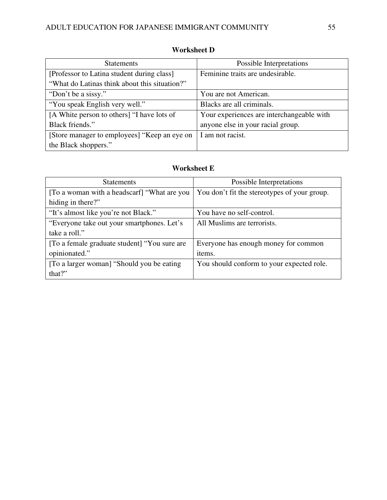| <b>Statements</b>                             | Possible Interpretations                  |
|-----------------------------------------------|-------------------------------------------|
| [Professor to Latina student during class]    | Feminine traits are undesirable.          |
| "What do Latinas think about this situation?" |                                           |
| "Don't be a sissy."                           | You are not American.                     |
| "You speak English very well."                | Blacks are all criminals.                 |
| [A White person to others] "I have lots of    | Your experiences are interchangeable with |
| Black friends."                               | anyone else in your racial group.         |
| [Store manager to employees] "Keep an eye on  | I am not racist.                          |
| the Black shoppers."                          |                                           |

# **Worksheet D**

# **Worksheet E**

| <b>Statements</b>                            | Possible Interpretations                     |
|----------------------------------------------|----------------------------------------------|
| [To a woman with a headscarf] "What are you  | You don't fit the stereotypes of your group. |
| hiding in there?"                            |                                              |
| "It's almost like you're not Black."         | You have no self-control.                    |
| "Everyone take out your smartphones. Let's   | All Muslims are terrorists.                  |
| take a roll."                                |                                              |
| [To a female graduate student] "You sure are | Everyone has enough money for common         |
| opinionated."                                | items.                                       |
| [To a larger woman] "Should you be eating    | You should conform to your expected role.    |
| that?"                                       |                                              |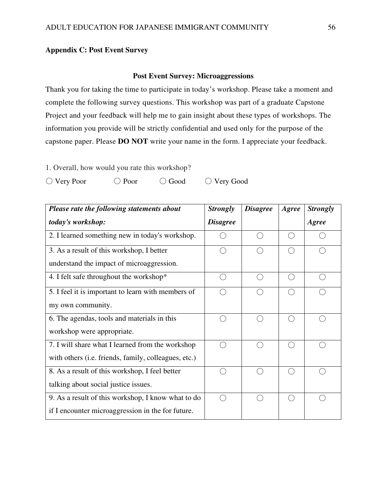# **Appendix C: Post Event Survey**

## **Post Event Survey: Microaggressions**

Thank you for taking the time to participate in today's workshop. Please take a moment and complete the following survey questions. This workshop was part of a graduate Capstone Project and your feedback will help me to gain insight about these types of workshops. The information you provide will be strictly confidential and used only for the purpose of the capstone paper. Please **DO NOT** write your name in the form. I appreciate your feedback.

1. Overall, how would you rate this workshop?

|  | $\bigcirc$ Very Poor | $\bigcirc$ Poor | $\bigcirc$ Good | $\bigcirc$ Very Good |
|--|----------------------|-----------------|-----------------|----------------------|
|--|----------------------|-----------------|-----------------|----------------------|

| Please rate the following statements about           | <b>Strongly</b> | <b>Disagree</b> | Agree              | <b>Strongly</b> |
|------------------------------------------------------|-----------------|-----------------|--------------------|-----------------|
| today's workshop:                                    | <b>Disagree</b> |                 |                    | Agree           |
| 2. I learned something new in today's workshop.      |                 |                 | $\curvearrowright$ |                 |
| 3. As a result of this workshop, I better            |                 | ⌒               | $\bigcap$          |                 |
| understand the impact of microaggression.            |                 |                 |                    |                 |
| 4. I felt safe throughout the workshop*              |                 |                 | ◯                  |                 |
| 5. I feel it is important to learn with members of   |                 |                 | $\cap$             |                 |
| my own community.                                    |                 |                 |                    |                 |
| 6. The agendas, tools and materials in this          |                 | ⊖               | ◯                  |                 |
| workshop were appropriate.                           |                 |                 |                    |                 |
| 7. I will share what I learned from the workshop     |                 | ⌒               | $\bigcap$          |                 |
| with others (i.e. friends, family, colleagues, etc.) |                 |                 |                    |                 |
| 8. As a result of this workshop, I feel better       |                 |                 | ◯                  |                 |
| talking about social justice issues.                 |                 |                 |                    |                 |
| 9. As a result of this workshop, I know what to do   |                 |                 | $\curvearrowright$ |                 |
| if I encounter microaggression in the for future.    |                 |                 |                    |                 |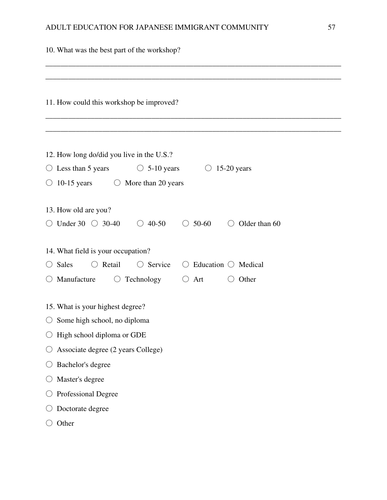| 10. What was the best part of the workshop?                                                          |  |  |  |  |
|------------------------------------------------------------------------------------------------------|--|--|--|--|
|                                                                                                      |  |  |  |  |
| 11. How could this workshop be improved?                                                             |  |  |  |  |
| 12. How long do/did you live in the U.S.?                                                            |  |  |  |  |
| Less than 5 years<br>$\circ$ 5-10 years<br>$15-20$ years<br>$\cup$<br>$\cup$                         |  |  |  |  |
| $10-15$ years<br>$\circ$ More than 20 years<br>O                                                     |  |  |  |  |
| 13. How old are you?                                                                                 |  |  |  |  |
| $\circ$ Under 30 $\circ$ 30-40<br>$\circ$ 50-60<br>Older than 60<br>$\circ$ 40-50<br>$\left(\right)$ |  |  |  |  |
| 14. What field is your occupation?                                                                   |  |  |  |  |
| $\bigcirc$ Retail<br>$\bigcirc$ Service<br>Education $\bigcirc$ Medical<br>$\bigcirc$ Sales<br>( )   |  |  |  |  |
| Manufacture<br>$\bigcirc$ Technology<br>Other<br>$\bigcirc$ Art<br>O<br>$\bigcirc$                   |  |  |  |  |
| 15. What is your highest degree?                                                                     |  |  |  |  |
| $\circ$ Some high school, no diploma                                                                 |  |  |  |  |
| High school diploma or GDE                                                                           |  |  |  |  |
| Associate degree (2 years College)                                                                   |  |  |  |  |
| Bachelor's degree                                                                                    |  |  |  |  |
| Master's degree                                                                                      |  |  |  |  |
| Professional Degree                                                                                  |  |  |  |  |
| Doctorate degree                                                                                     |  |  |  |  |
| Other                                                                                                |  |  |  |  |